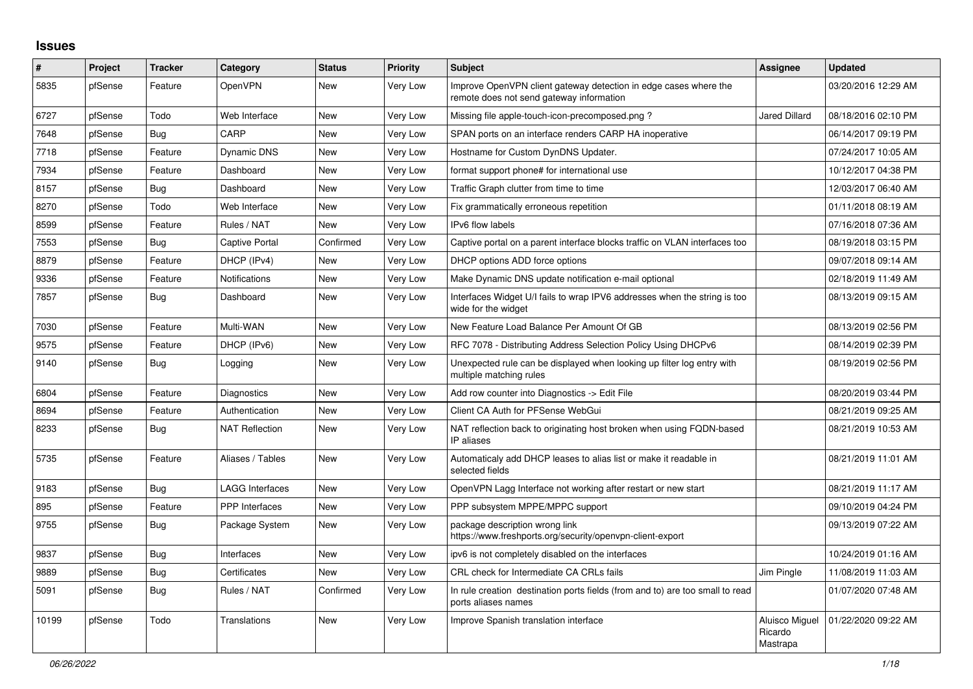## **Issues**

| #     | Project | <b>Tracker</b> | Category               | <b>Status</b> | <b>Priority</b> | <b>Subject</b>                                                                                               | Assignee                              | <b>Updated</b>      |
|-------|---------|----------------|------------------------|---------------|-----------------|--------------------------------------------------------------------------------------------------------------|---------------------------------------|---------------------|
| 5835  | pfSense | Feature        | OpenVPN                | New           | Very Low        | Improve OpenVPN client gateway detection in edge cases where the<br>remote does not send gateway information |                                       | 03/20/2016 12:29 AM |
| 6727  | pfSense | Todo           | Web Interface          | <b>New</b>    | Very Low        | Missing file apple-touch-icon-precomposed.png?                                                               | <b>Jared Dillard</b>                  | 08/18/2016 02:10 PM |
| 7648  | pfSense | Bug            | CARP                   | New           | Very Low        | SPAN ports on an interface renders CARP HA inoperative                                                       |                                       | 06/14/2017 09:19 PM |
| 7718  | pfSense | Feature        | <b>Dynamic DNS</b>     | New           | Very Low        | Hostname for Custom DynDNS Updater.                                                                          |                                       | 07/24/2017 10:05 AM |
| 7934  | pfSense | Feature        | Dashboard              | New           | Very Low        | format support phone# for international use                                                                  |                                       | 10/12/2017 04:38 PM |
| 8157  | pfSense | Bug            | Dashboard              | New           | Very Low        | Traffic Graph clutter from time to time                                                                      |                                       | 12/03/2017 06:40 AM |
| 8270  | pfSense | Todo           | Web Interface          | New           | Very Low        | Fix grammatically erroneous repetition                                                                       |                                       | 01/11/2018 08:19 AM |
| 8599  | pfSense | Feature        | Rules / NAT            | New           | Very Low        | IPv6 flow labels                                                                                             |                                       | 07/16/2018 07:36 AM |
| 7553  | pfSense | <b>Bug</b>     | <b>Captive Portal</b>  | Confirmed     | Very Low        | Captive portal on a parent interface blocks traffic on VLAN interfaces too                                   |                                       | 08/19/2018 03:15 PM |
| 8879  | pfSense | Feature        | DHCP (IPv4)            | <b>New</b>    | Very Low        | DHCP options ADD force options                                                                               |                                       | 09/07/2018 09:14 AM |
| 9336  | pfSense | Feature        | <b>Notifications</b>   | <b>New</b>    | Very Low        | Make Dynamic DNS update notification e-mail optional                                                         |                                       | 02/18/2019 11:49 AM |
| 7857  | pfSense | Bug            | Dashboard              | New           | Very Low        | Interfaces Widget U/I fails to wrap IPV6 addresses when the string is too<br>wide for the widget             |                                       | 08/13/2019 09:15 AM |
| 7030  | pfSense | Feature        | Multi-WAN              | New           | Very Low        | New Feature Load Balance Per Amount Of GB                                                                    |                                       | 08/13/2019 02:56 PM |
| 9575  | pfSense | Feature        | DHCP (IPv6)            | New           | Very Low        | RFC 7078 - Distributing Address Selection Policy Using DHCPv6                                                |                                       | 08/14/2019 02:39 PM |
| 9140  | pfSense | Bug            | Logging                | New           | Very Low        | Unexpected rule can be displayed when looking up filter log entry with<br>multiple matching rules            |                                       | 08/19/2019 02:56 PM |
| 6804  | pfSense | Feature        | Diagnostics            | <b>New</b>    | Very Low        | Add row counter into Diagnostics -> Edit File                                                                |                                       | 08/20/2019 03:44 PM |
| 8694  | pfSense | Feature        | Authentication         | New           | Very Low        | Client CA Auth for PFSense WebGui                                                                            |                                       | 08/21/2019 09:25 AM |
| 8233  | pfSense | Bug            | <b>NAT Reflection</b>  | New           | Very Low        | NAT reflection back to originating host broken when using FQDN-based<br>IP aliases                           |                                       | 08/21/2019 10:53 AM |
| 5735  | pfSense | Feature        | Aliases / Tables       | New           | Very Low        | Automaticaly add DHCP leases to alias list or make it readable in<br>selected fields                         |                                       | 08/21/2019 11:01 AM |
| 9183  | pfSense | Bug            | <b>LAGG Interfaces</b> | New           | Very Low        | OpenVPN Lagg Interface not working after restart or new start                                                |                                       | 08/21/2019 11:17 AM |
| 895   | pfSense | Feature        | <b>PPP</b> Interfaces  | <b>New</b>    | Very Low        | PPP subsystem MPPE/MPPC support                                                                              |                                       | 09/10/2019 04:24 PM |
| 9755  | pfSense | Bug            | Package System         | New           | Very Low        | package description wrong link<br>https://www.freshports.org/security/openvpn-client-export                  |                                       | 09/13/2019 07:22 AM |
| 9837  | pfSense | Bug            | Interfaces             | <b>New</b>    | Very Low        | ipv6 is not completely disabled on the interfaces                                                            |                                       | 10/24/2019 01:16 AM |
| 9889  | pfSense | Bug            | Certificates           | New           | Very Low        | CRL check for Intermediate CA CRLs fails                                                                     | Jim Pingle                            | 11/08/2019 11:03 AM |
| 5091  | pfSense | Bug            | Rules / NAT            | Confirmed     | Very Low        | In rule creation destination ports fields (from and to) are too small to read<br>ports aliases names         |                                       | 01/07/2020 07:48 AM |
| 10199 | pfSense | Todo           | Translations           | New           | Very Low        | Improve Spanish translation interface                                                                        | Aluisco Miguel<br>Ricardo<br>Mastrapa | 01/22/2020 09:22 AM |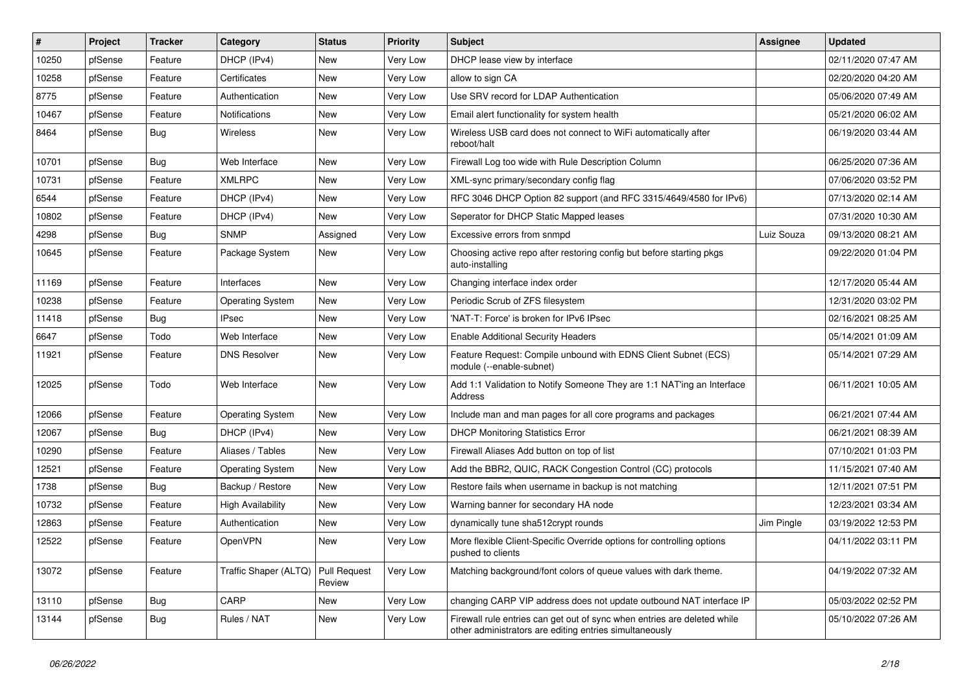| $\pmb{\sharp}$ | Project | <b>Tracker</b> | Category                 | <b>Status</b>          | <b>Priority</b> | Subject                                                                                                                             | <b>Assignee</b> | <b>Updated</b>      |
|----------------|---------|----------------|--------------------------|------------------------|-----------------|-------------------------------------------------------------------------------------------------------------------------------------|-----------------|---------------------|
| 10250          | pfSense | Feature        | DHCP (IPv4)              | New                    | Very Low        | DHCP lease view by interface                                                                                                        |                 | 02/11/2020 07:47 AM |
| 10258          | pfSense | Feature        | Certificates             | New                    | Very Low        | allow to sign CA                                                                                                                    |                 | 02/20/2020 04:20 AM |
| 8775           | pfSense | Feature        | Authentication           | New                    | Very Low        | Use SRV record for LDAP Authentication                                                                                              |                 | 05/06/2020 07:49 AM |
| 10467          | pfSense | Feature        | <b>Notifications</b>     | New                    | Very Low        | Email alert functionality for system health                                                                                         |                 | 05/21/2020 06:02 AM |
| 8464           | pfSense | <b>Bug</b>     | <b>Wireless</b>          | New                    | <b>Very Low</b> | Wireless USB card does not connect to WiFi automatically after<br>reboot/halt                                                       |                 | 06/19/2020 03:44 AM |
| 10701          | pfSense | Bug            | Web Interface            | New                    | Very Low        | Firewall Log too wide with Rule Description Column                                                                                  |                 | 06/25/2020 07:36 AM |
| 10731          | pfSense | Feature        | <b>XMLRPC</b>            | New                    | <b>Very Low</b> | XML-sync primary/secondary config flag                                                                                              |                 | 07/06/2020 03:52 PM |
| 6544           | pfSense | Feature        | DHCP (IPv4)              | New                    | Very Low        | RFC 3046 DHCP Option 82 support (and RFC 3315/4649/4580 for IPv6)                                                                   |                 | 07/13/2020 02:14 AM |
| 10802          | pfSense | Feature        | DHCP (IPv4)              | New                    | Very Low        | Seperator for DHCP Static Mapped leases                                                                                             |                 | 07/31/2020 10:30 AM |
| 4298           | pfSense | Bug            | <b>SNMP</b>              | Assigned               | Very Low        | Excessive errors from snmpd                                                                                                         | Luiz Souza      | 09/13/2020 08:21 AM |
| 10645          | pfSense | Feature        | Package System           | New                    | Very Low        | Choosing active repo after restoring config but before starting pkgs<br>auto-installing                                             |                 | 09/22/2020 01:04 PM |
| 11169          | pfSense | Feature        | Interfaces               | New                    | Very Low        | Changing interface index order                                                                                                      |                 | 12/17/2020 05:44 AM |
| 10238          | pfSense | Feature        | <b>Operating System</b>  | New                    | Very Low        | Periodic Scrub of ZFS filesystem                                                                                                    |                 | 12/31/2020 03:02 PM |
| 11418          | pfSense | <b>Bug</b>     | <b>IPsec</b>             | New                    | <b>Very Low</b> | 'NAT-T: Force' is broken for IPv6 IPsec                                                                                             |                 | 02/16/2021 08:25 AM |
| 6647           | pfSense | Todo           | Web Interface            | New                    | Very Low        | <b>Enable Additional Security Headers</b>                                                                                           |                 | 05/14/2021 01:09 AM |
| 11921          | pfSense | Feature        | <b>DNS Resolver</b>      | New                    | Very Low        | Feature Request: Compile unbound with EDNS Client Subnet (ECS)<br>module (--enable-subnet)                                          |                 | 05/14/2021 07:29 AM |
| 12025          | pfSense | Todo           | Web Interface            | New                    | Very Low        | Add 1:1 Validation to Notify Someone They are 1:1 NAT'ing an Interface<br>Address                                                   |                 | 06/11/2021 10:05 AM |
| 12066          | pfSense | Feature        | <b>Operating System</b>  | New                    | <b>Very Low</b> | Include man and man pages for all core programs and packages                                                                        |                 | 06/21/2021 07:44 AM |
| 12067          | pfSense | <b>Bug</b>     | DHCP (IPv4)              | New                    | Very Low        | <b>DHCP Monitoring Statistics Error</b>                                                                                             |                 | 06/21/2021 08:39 AM |
| 10290          | pfSense | Feature        | Aliases / Tables         | <b>New</b>             | Very Low        | Firewall Aliases Add button on top of list                                                                                          |                 | 07/10/2021 01:03 PM |
| 12521          | pfSense | Feature        | <b>Operating System</b>  | New                    | Very Low        | Add the BBR2, QUIC, RACK Congestion Control (CC) protocols                                                                          |                 | 11/15/2021 07:40 AM |
| 1738           | pfSense | <b>Bug</b>     | Backup / Restore         | New                    | Very Low        | Restore fails when username in backup is not matching                                                                               |                 | 12/11/2021 07:51 PM |
| 10732          | pfSense | Feature        | <b>High Availability</b> | New                    | Very Low        | Warning banner for secondary HA node                                                                                                |                 | 12/23/2021 03:34 AM |
| 12863          | pfSense | Feature        | Authentication           | New                    | Very Low        | dynamically tune sha512crypt rounds                                                                                                 | Jim Pingle      | 03/19/2022 12:53 PM |
| 12522          | pfSense | Feature        | OpenVPN                  | New                    | Very Low        | More flexible Client-Specific Override options for controlling options<br>pushed to clients                                         |                 | 04/11/2022 03:11 PM |
| 13072          | pfSense | Feature        | Traffic Shaper (ALTQ)    | Pull Request<br>Review | Very Low        | Matching background/font colors of queue values with dark theme.                                                                    |                 | 04/19/2022 07:32 AM |
| 13110          | pfSense | Bug            | CARP                     | New                    | Very Low        | changing CARP VIP address does not update outbound NAT interface IP                                                                 |                 | 05/03/2022 02:52 PM |
| 13144          | pfSense | <b>Bug</b>     | Rules / NAT              | New                    | Very Low        | Firewall rule entries can get out of sync when entries are deleted while<br>other administrators are editing entries simultaneously |                 | 05/10/2022 07:26 AM |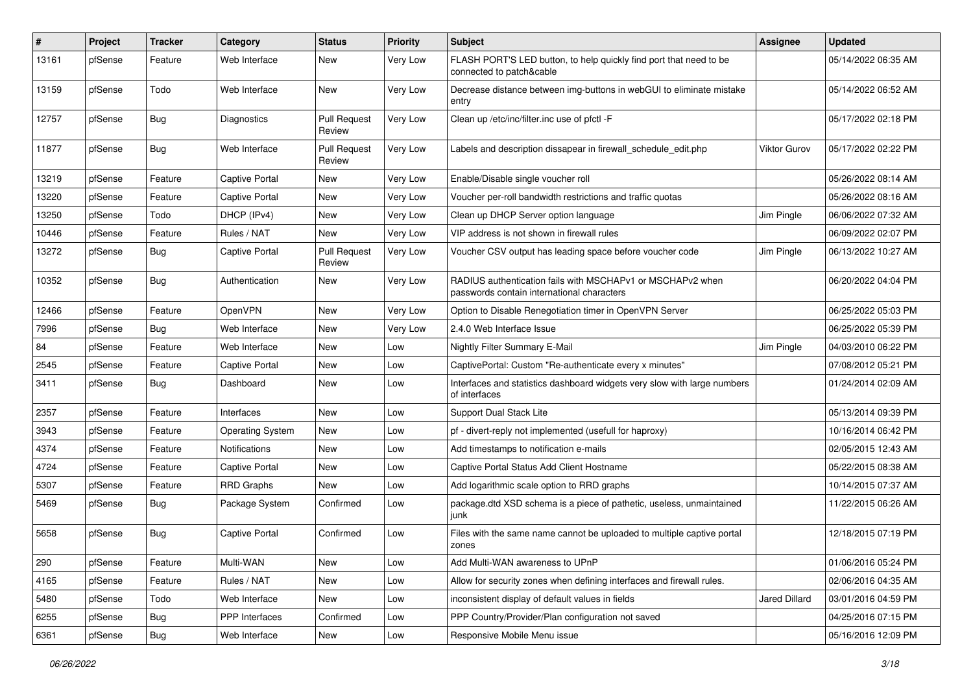| $\sharp$ | Project | <b>Tracker</b> | Category                | <b>Status</b>                 | <b>Priority</b> | Subject                                                                                                  | Assignee      | <b>Updated</b>      |
|----------|---------|----------------|-------------------------|-------------------------------|-----------------|----------------------------------------------------------------------------------------------------------|---------------|---------------------|
| 13161    | pfSense | Feature        | Web Interface           | New                           | Very Low        | FLASH PORT'S LED button, to help quickly find port that need to be<br>connected to patch&cable           |               | 05/14/2022 06:35 AM |
| 13159    | pfSense | Todo           | Web Interface           | New                           | Very Low        | Decrease distance between img-buttons in webGUI to eliminate mistake<br>entry                            |               | 05/14/2022 06:52 AM |
| 12757    | pfSense | Bug            | Diagnostics             | <b>Pull Request</b><br>Review | Very Low        | Clean up /etc/inc/filter.inc use of pfctl -F                                                             |               | 05/17/2022 02:18 PM |
| 11877    | pfSense | Bug            | Web Interface           | <b>Pull Request</b><br>Review | Very Low        | Labels and description dissapear in firewall_schedule_edit.php                                           | Viktor Gurov  | 05/17/2022 02:22 PM |
| 13219    | pfSense | Feature        | Captive Portal          | New                           | Very Low        | Enable/Disable single voucher roll                                                                       |               | 05/26/2022 08:14 AM |
| 13220    | pfSense | Feature        | <b>Captive Portal</b>   | New                           | Very Low        | Voucher per-roll bandwidth restrictions and traffic quotas                                               |               | 05/26/2022 08:16 AM |
| 13250    | pfSense | Todo           | DHCP (IPv4)             | New                           | Very Low        | Clean up DHCP Server option language                                                                     | Jim Pingle    | 06/06/2022 07:32 AM |
| 10446    | pfSense | Feature        | Rules / NAT             | New                           | Very Low        | VIP address is not shown in firewall rules                                                               |               | 06/09/2022 02:07 PM |
| 13272    | pfSense | <b>Bug</b>     | <b>Captive Portal</b>   | <b>Pull Request</b><br>Review | Very Low        | Voucher CSV output has leading space before voucher code                                                 | Jim Pingle    | 06/13/2022 10:27 AM |
| 10352    | pfSense | Bug            | Authentication          | New                           | Very Low        | RADIUS authentication fails with MSCHAPv1 or MSCHAPv2 when<br>passwords contain international characters |               | 06/20/2022 04:04 PM |
| 12466    | pfSense | Feature        | OpenVPN                 | New                           | Very Low        | Option to Disable Renegotiation timer in OpenVPN Server                                                  |               | 06/25/2022 05:03 PM |
| 7996     | pfSense | <b>Bug</b>     | Web Interface           | New                           | Very Low        | 2.4.0 Web Interface Issue                                                                                |               | 06/25/2022 05:39 PM |
| 84       | pfSense | Feature        | Web Interface           | New                           | Low             | Nightly Filter Summary E-Mail                                                                            | Jim Pingle    | 04/03/2010 06:22 PM |
| 2545     | pfSense | Feature        | Captive Portal          | New                           | Low             | CaptivePortal: Custom "Re-authenticate every x minutes"                                                  |               | 07/08/2012 05:21 PM |
| 3411     | pfSense | <b>Bug</b>     | Dashboard               | <b>New</b>                    | Low             | Interfaces and statistics dashboard widgets very slow with large numbers<br>of interfaces                |               | 01/24/2014 02:09 AM |
| 2357     | pfSense | Feature        | Interfaces              | <b>New</b>                    | Low             | Support Dual Stack Lite                                                                                  |               | 05/13/2014 09:39 PM |
| 3943     | pfSense | Feature        | <b>Operating System</b> | New                           | Low             | pf - divert-reply not implemented (usefull for haproxy)                                                  |               | 10/16/2014 06:42 PM |
| 4374     | pfSense | Feature        | <b>Notifications</b>    | New                           | Low             | Add timestamps to notification e-mails                                                                   |               | 02/05/2015 12:43 AM |
| 4724     | pfSense | Feature        | <b>Captive Portal</b>   | New                           | Low             | Captive Portal Status Add Client Hostname                                                                |               | 05/22/2015 08:38 AM |
| 5307     | pfSense | Feature        | <b>RRD Graphs</b>       | New                           | Low             | Add logarithmic scale option to RRD graphs                                                               |               | 10/14/2015 07:37 AM |
| 5469     | pfSense | <b>Bug</b>     | Package System          | Confirmed                     | Low             | package.dtd XSD schema is a piece of pathetic, useless, unmaintained<br>junk                             |               | 11/22/2015 06:26 AM |
| 5658     | pfSense | <b>Bug</b>     | Captive Portal          | Confirmed                     | Low             | Files with the same name cannot be uploaded to multiple captive portal<br>zones                          |               | 12/18/2015 07:19 PM |
| 290      | pfSense | Feature        | Multi-WAN               | New                           | Low             | Add Multi-WAN awareness to UPnP                                                                          |               | 01/06/2016 05:24 PM |
| 4165     | pfSense | Feature        | Rules / NAT             | New                           | Low             | Allow for security zones when defining interfaces and firewall rules.                                    |               | 02/06/2016 04:35 AM |
| 5480     | pfSense | Todo           | Web Interface           | New                           | Low             | inconsistent display of default values in fields                                                         | Jared Dillard | 03/01/2016 04:59 PM |
| 6255     | pfSense | Bug            | PPP Interfaces          | Confirmed                     | Low             | PPP Country/Provider/Plan configuration not saved                                                        |               | 04/25/2016 07:15 PM |
| 6361     | pfSense | Bug            | Web Interface           | New                           | Low             | Responsive Mobile Menu issue                                                                             |               | 05/16/2016 12:09 PM |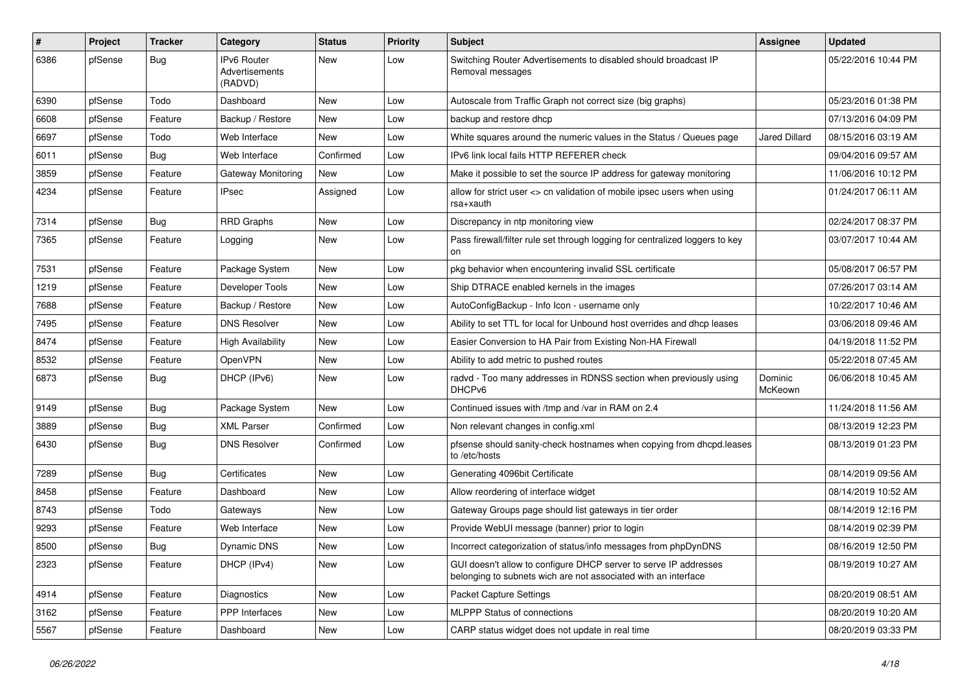| #    | Project | <b>Tracker</b> | Category                                 | <b>Status</b> | <b>Priority</b> | Subject                                                                                                                            | <b>Assignee</b>    | <b>Updated</b>      |
|------|---------|----------------|------------------------------------------|---------------|-----------------|------------------------------------------------------------------------------------------------------------------------------------|--------------------|---------------------|
| 6386 | pfSense | Bug            | IPv6 Router<br>Advertisements<br>(RADVD) | New           | Low             | Switching Router Advertisements to disabled should broadcast IP<br>Removal messages                                                |                    | 05/22/2016 10:44 PM |
| 6390 | pfSense | Todo           | Dashboard                                | New           | Low             | Autoscale from Traffic Graph not correct size (big graphs)                                                                         |                    | 05/23/2016 01:38 PM |
| 6608 | pfSense | Feature        | Backup / Restore                         | <b>New</b>    | Low             | backup and restore dhcp                                                                                                            |                    | 07/13/2016 04:09 PM |
| 6697 | pfSense | Todo           | Web Interface                            | New           | Low             | White squares around the numeric values in the Status / Queues page                                                                | Jared Dillard      | 08/15/2016 03:19 AM |
| 6011 | pfSense | <b>Bug</b>     | Web Interface                            | Confirmed     | Low             | IPv6 link local fails HTTP REFERER check                                                                                           |                    | 09/04/2016 09:57 AM |
| 3859 | pfSense | Feature        | Gateway Monitoring                       | New           | Low             | Make it possible to set the source IP address for gateway monitoring                                                               |                    | 11/06/2016 10:12 PM |
| 4234 | pfSense | Feature        | IPsec                                    | Assigned      | Low             | allow for strict user <> cn validation of mobile ipsec users when using<br>rsa+xauth                                               |                    | 01/24/2017 06:11 AM |
| 7314 | pfSense | Bug            | <b>RRD Graphs</b>                        | New           | Low             | Discrepancy in ntp monitoring view                                                                                                 |                    | 02/24/2017 08:37 PM |
| 7365 | pfSense | Feature        | Logging                                  | New           | Low             | Pass firewall/filter rule set through logging for centralized loggers to key<br>on                                                 |                    | 03/07/2017 10:44 AM |
| 7531 | pfSense | Feature        | Package System                           | New           | Low             | pkg behavior when encountering invalid SSL certificate                                                                             |                    | 05/08/2017 06:57 PM |
| 1219 | pfSense | Feature        | Developer Tools                          | New           | Low             | Ship DTRACE enabled kernels in the images                                                                                          |                    | 07/26/2017 03:14 AM |
| 7688 | pfSense | Feature        | Backup / Restore                         | New           | Low             | AutoConfigBackup - Info Icon - username only                                                                                       |                    | 10/22/2017 10:46 AM |
| 7495 | pfSense | Feature        | <b>DNS Resolver</b>                      | New           | Low             | Ability to set TTL for local for Unbound host overrides and dhcp leases                                                            |                    | 03/06/2018 09:46 AM |
| 8474 | pfSense | Feature        | <b>High Availability</b>                 | <b>New</b>    | Low             | Easier Conversion to HA Pair from Existing Non-HA Firewall                                                                         |                    | 04/19/2018 11:52 PM |
| 8532 | pfSense | Feature        | OpenVPN                                  | New           | Low             | Ability to add metric to pushed routes                                                                                             |                    | 05/22/2018 07:45 AM |
| 6873 | pfSense | <b>Bug</b>     | DHCP (IPv6)                              | New           | Low             | radvd - Too many addresses in RDNSS section when previously using<br>DHCP <sub>v6</sub>                                            | Dominic<br>McKeown | 06/06/2018 10:45 AM |
| 9149 | pfSense | <b>Bug</b>     | Package System                           | New           | Low             | Continued issues with /tmp and /var in RAM on 2.4                                                                                  |                    | 11/24/2018 11:56 AM |
| 3889 | pfSense | Bug            | <b>XML Parser</b>                        | Confirmed     | Low             | Non relevant changes in config.xml                                                                                                 |                    | 08/13/2019 12:23 PM |
| 6430 | pfSense | <b>Bug</b>     | <b>DNS Resolver</b>                      | Confirmed     | Low             | pfsense should sanity-check hostnames when copying from dhcpd.leases<br>to /etc/hosts                                              |                    | 08/13/2019 01:23 PM |
| 7289 | pfSense | <b>Bug</b>     | Certificates                             | New           | Low             | Generating 4096bit Certificate                                                                                                     |                    | 08/14/2019 09:56 AM |
| 8458 | pfSense | Feature        | Dashboard                                | New           | Low             | Allow reordering of interface widget                                                                                               |                    | 08/14/2019 10:52 AM |
| 8743 | pfSense | Todo           | Gateways                                 | New           | Low             | Gateway Groups page should list gateways in tier order                                                                             |                    | 08/14/2019 12:16 PM |
| 9293 | pfSense | Feature        | Web Interface                            | New           | Low             | Provide WebUI message (banner) prior to login                                                                                      |                    | 08/14/2019 02:39 PM |
| 8500 | pfSense | i Bug          | Dynamic DNS                              | New           | Low             | Incorrect categorization of status/info messages from phpDynDNS                                                                    |                    | 08/16/2019 12:50 PM |
| 2323 | pfSense | Feature        | DHCP (IPv4)                              | New           | Low             | GUI doesn't allow to configure DHCP server to serve IP addresses<br>belonging to subnets wich are not associated with an interface |                    | 08/19/2019 10:27 AM |
| 4914 | pfSense | Feature        | Diagnostics                              | New           | Low             | Packet Capture Settings                                                                                                            |                    | 08/20/2019 08:51 AM |
| 3162 | pfSense | Feature        | PPP Interfaces                           | New           | Low             | <b>MLPPP Status of connections</b>                                                                                                 |                    | 08/20/2019 10:20 AM |
| 5567 | pfSense | Feature        | Dashboard                                | New           | Low             | CARP status widget does not update in real time                                                                                    |                    | 08/20/2019 03:33 PM |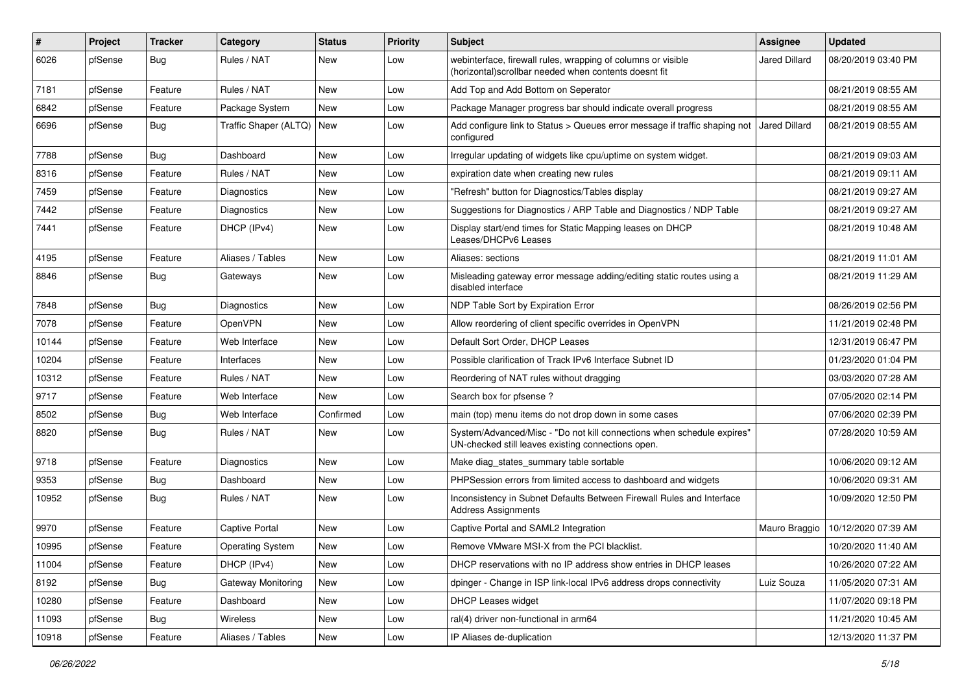| $\#$  | Project | <b>Tracker</b> | Category              | <b>Status</b> | <b>Priority</b> | <b>Subject</b>                                                                                                               | <b>Assignee</b> | <b>Updated</b>      |
|-------|---------|----------------|-----------------------|---------------|-----------------|------------------------------------------------------------------------------------------------------------------------------|-----------------|---------------------|
| 6026  | pfSense | <b>Bug</b>     | Rules / NAT           | New           | Low             | webinterface, firewall rules, wrapping of columns or visible<br>(horizontal) scrollbar needed when contents doesnt fit       | Jared Dillard   | 08/20/2019 03:40 PM |
| 7181  | pfSense | Feature        | Rules / NAT           | New           | Low             | Add Top and Add Bottom on Seperator                                                                                          |                 | 08/21/2019 08:55 AM |
| 6842  | pfSense | Feature        | Package System        | New           | Low             | Package Manager progress bar should indicate overall progress                                                                |                 | 08/21/2019 08:55 AM |
| 6696  | pfSense | <b>Bug</b>     | Traffic Shaper (ALTQ) | New           | Low             | Add configure link to Status > Queues error message if traffic shaping not   Jared Dillard<br>configured                     |                 | 08/21/2019 08:55 AM |
| 7788  | pfSense | Bug            | Dashboard             | New           | Low             | Irregular updating of widgets like cpu/uptime on system widget.                                                              |                 | 08/21/2019 09:03 AM |
| 8316  | pfSense | Feature        | Rules / NAT           | New           | Low             | expiration date when creating new rules                                                                                      |                 | 08/21/2019 09:11 AM |
| 7459  | pfSense | Feature        | Diagnostics           | New           | Low             | 'Refresh" button for Diagnostics/Tables display                                                                              |                 | 08/21/2019 09:27 AM |
| 7442  | pfSense | Feature        | Diagnostics           | New           | Low             | Suggestions for Diagnostics / ARP Table and Diagnostics / NDP Table                                                          |                 | 08/21/2019 09:27 AM |
| 7441  | pfSense | Feature        | DHCP (IPv4)           | New           | Low             | Display start/end times for Static Mapping leases on DHCP<br>Leases/DHCPv6 Leases                                            |                 | 08/21/2019 10:48 AM |
| 4195  | pfSense | Feature        | Aliases / Tables      | <b>New</b>    | Low             | Aliases: sections                                                                                                            |                 | 08/21/2019 11:01 AM |
| 8846  | pfSense | Bug            | Gateways              | New           | Low             | Misleading gateway error message adding/editing static routes using a<br>disabled interface                                  |                 | 08/21/2019 11:29 AM |
| 7848  | pfSense | Bug            | Diagnostics           | New           | Low             | NDP Table Sort by Expiration Error                                                                                           |                 | 08/26/2019 02:56 PM |
| 7078  | pfSense | Feature        | OpenVPN               | New           | Low             | Allow reordering of client specific overrides in OpenVPN                                                                     |                 | 11/21/2019 02:48 PM |
| 10144 | pfSense | Feature        | Web Interface         | New           | Low             | Default Sort Order, DHCP Leases                                                                                              |                 | 12/31/2019 06:47 PM |
| 10204 | pfSense | Feature        | Interfaces            | New           | Low             | Possible clarification of Track IPv6 Interface Subnet ID                                                                     |                 | 01/23/2020 01:04 PM |
| 10312 | pfSense | Feature        | Rules / NAT           | New           | Low             | Reordering of NAT rules without dragging                                                                                     |                 | 03/03/2020 07:28 AM |
| 9717  | pfSense | Feature        | Web Interface         | <b>New</b>    | Low             | Search box for pfsense ?                                                                                                     |                 | 07/05/2020 02:14 PM |
| 8502  | pfSense | Bug            | Web Interface         | Confirmed     | Low             | main (top) menu items do not drop down in some cases                                                                         |                 | 07/06/2020 02:39 PM |
| 8820  | pfSense | <b>Bug</b>     | Rules / NAT           | New           | Low             | System/Advanced/Misc - "Do not kill connections when schedule expires"<br>UN-checked still leaves existing connections open. |                 | 07/28/2020 10:59 AM |
| 9718  | pfSense | Feature        | Diagnostics           | New           | Low             | Make diag_states_summary table sortable                                                                                      |                 | 10/06/2020 09:12 AM |
| 9353  | pfSense | <b>Bug</b>     | Dashboard             | New           | Low             | PHPSession errors from limited access to dashboard and widgets                                                               |                 | 10/06/2020 09:31 AM |
| 10952 | pfSense | Bug            | Rules / NAT           | New           | Low             | Inconsistency in Subnet Defaults Between Firewall Rules and Interface<br><b>Address Assignments</b>                          |                 | 10/09/2020 12:50 PM |
| 9970  | pfSense | Feature        | Captive Portal        | <b>New</b>    | Low             | Captive Portal and SAML2 Integration                                                                                         | Mauro Braggio   | 10/12/2020 07:39 AM |
| 10995 | pfSense | Feature        | Operating System      | New           | Low             | Remove VMware MSI-X from the PCI blacklist.                                                                                  |                 | 10/20/2020 11:40 AM |
| 11004 | pfSense | Feature        | DHCP (IPv4)           | New           | Low             | DHCP reservations with no IP address show entries in DHCP leases                                                             |                 | 10/26/2020 07:22 AM |
| 8192  | pfSense | <b>Bug</b>     | Gateway Monitoring    | New           | Low             | dpinger - Change in ISP link-local IPv6 address drops connectivity                                                           | Luiz Souza      | 11/05/2020 07:31 AM |
| 10280 | pfSense | Feature        | Dashboard             | New           | Low             | DHCP Leases widget                                                                                                           |                 | 11/07/2020 09:18 PM |
| 11093 | pfSense | <b>Bug</b>     | Wireless              | New           | Low             | ral(4) driver non-functional in arm64                                                                                        |                 | 11/21/2020 10:45 AM |
| 10918 | pfSense | Feature        | Aliases / Tables      | New           | Low             | IP Aliases de-duplication                                                                                                    |                 | 12/13/2020 11:37 PM |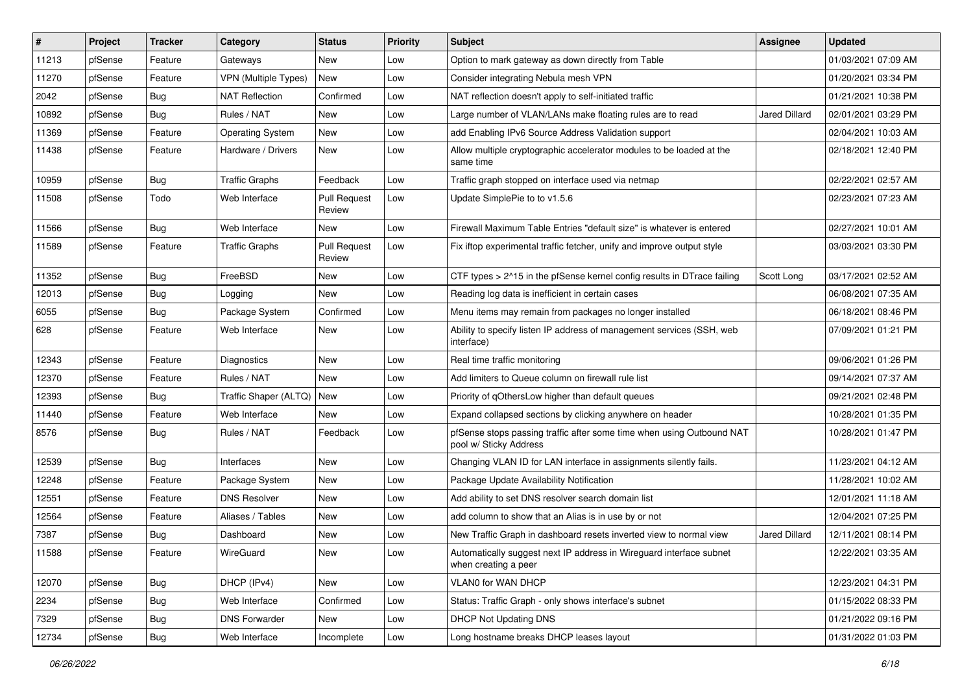| #     | Project | <b>Tracker</b> | Category                    | <b>Status</b>                 | <b>Priority</b> | <b>Subject</b>                                                                                  | Assignee             | <b>Updated</b>      |
|-------|---------|----------------|-----------------------------|-------------------------------|-----------------|-------------------------------------------------------------------------------------------------|----------------------|---------------------|
| 11213 | pfSense | Feature        | Gateways                    | New                           | Low             | Option to mark gateway as down directly from Table                                              |                      | 01/03/2021 07:09 AM |
| 11270 | pfSense | Feature        | <b>VPN</b> (Multiple Types) | <b>New</b>                    | Low             | Consider integrating Nebula mesh VPN                                                            |                      | 01/20/2021 03:34 PM |
| 2042  | pfSense | Bug            | <b>NAT Reflection</b>       | Confirmed                     | Low             | NAT reflection doesn't apply to self-initiated traffic                                          |                      | 01/21/2021 10:38 PM |
| 10892 | pfSense | <b>Bug</b>     | Rules / NAT                 | <b>New</b>                    | Low             | Large number of VLAN/LANs make floating rules are to read                                       | <b>Jared Dillard</b> | 02/01/2021 03:29 PM |
| 11369 | pfSense | Feature        | <b>Operating System</b>     | <b>New</b>                    | Low             | add Enabling IPv6 Source Address Validation support                                             |                      | 02/04/2021 10:03 AM |
| 11438 | pfSense | Feature        | Hardware / Drivers          | New                           | Low             | Allow multiple cryptographic accelerator modules to be loaded at the<br>same time               |                      | 02/18/2021 12:40 PM |
| 10959 | pfSense | <b>Bug</b>     | <b>Traffic Graphs</b>       | Feedback                      | Low             | Traffic graph stopped on interface used via netmap                                              |                      | 02/22/2021 02:57 AM |
| 11508 | pfSense | Todo           | Web Interface               | <b>Pull Request</b><br>Review | Low             | Update SimplePie to to v1.5.6                                                                   |                      | 02/23/2021 07:23 AM |
| 11566 | pfSense | <b>Bug</b>     | Web Interface               | New                           | Low             | Firewall Maximum Table Entries "default size" is whatever is entered                            |                      | 02/27/2021 10:01 AM |
| 11589 | pfSense | Feature        | <b>Traffic Graphs</b>       | <b>Pull Request</b><br>Review | Low             | Fix iftop experimental traffic fetcher, unify and improve output style                          |                      | 03/03/2021 03:30 PM |
| 11352 | pfSense | Bug            | FreeBSD                     | New                           | Low             | CTF types > 2^15 in the pfSense kernel config results in DTrace failing                         | Scott Long           | 03/17/2021 02:52 AM |
| 12013 | pfSense | <b>Bug</b>     | Logging                     | New                           | Low             | Reading log data is inefficient in certain cases                                                |                      | 06/08/2021 07:35 AM |
| 6055  | pfSense | <b>Bug</b>     | Package System              | Confirmed                     | Low             | Menu items may remain from packages no longer installed                                         |                      | 06/18/2021 08:46 PM |
| 628   | pfSense | Feature        | Web Interface               | New                           | Low             | Ability to specify listen IP address of management services (SSH, web<br>interface)             |                      | 07/09/2021 01:21 PM |
| 12343 | pfSense | Feature        | Diagnostics                 | New                           | Low             | Real time traffic monitoring                                                                    |                      | 09/06/2021 01:26 PM |
| 12370 | pfSense | Feature        | Rules / NAT                 | <b>New</b>                    | Low             | Add limiters to Queue column on firewall rule list                                              |                      | 09/14/2021 07:37 AM |
| 12393 | pfSense | Bug            | Traffic Shaper (ALTQ)       | <b>New</b>                    | Low             | Priority of qOthersLow higher than default queues                                               |                      | 09/21/2021 02:48 PM |
| 11440 | pfSense | Feature        | Web Interface               | New                           | Low             | Expand collapsed sections by clicking anywhere on header                                        |                      | 10/28/2021 01:35 PM |
| 8576  | pfSense | Bug            | Rules / NAT                 | Feedback                      | Low             | pfSense stops passing traffic after some time when using Outbound NAT<br>pool w/ Sticky Address |                      | 10/28/2021 01:47 PM |
| 12539 | pfSense | <b>Bug</b>     | Interfaces                  | <b>New</b>                    | Low             | Changing VLAN ID for LAN interface in assignments silently fails.                               |                      | 11/23/2021 04:12 AM |
| 12248 | pfSense | Feature        | Package System              | New                           | Low             | Package Update Availability Notification                                                        |                      | 11/28/2021 10:02 AM |
| 12551 | pfSense | Feature        | <b>DNS Resolver</b>         | New                           | Low             | Add ability to set DNS resolver search domain list                                              |                      | 12/01/2021 11:18 AM |
| 12564 | pfSense | Feature        | Aliases / Tables            | New                           | Low             | add column to show that an Alias is in use by or not                                            |                      | 12/04/2021 07:25 PM |
| 7387  | pfSense | Bug            | Dashboard                   | <b>New</b>                    | Low             | New Traffic Graph in dashboard resets inverted view to normal view                              | <b>Jared Dillard</b> | 12/11/2021 08:14 PM |
| 11588 | pfSense | Feature        | WireGuard                   | New                           | Low             | Automatically suggest next IP address in Wireguard interface subnet<br>when creating a peer     |                      | 12/22/2021 03:35 AM |
| 12070 | pfSense | Bug            | DHCP (IPv4)                 | New                           | Low             | <b>VLAN0 for WAN DHCP</b>                                                                       |                      | 12/23/2021 04:31 PM |
| 2234  | pfSense | Bug            | Web Interface               | Confirmed                     | Low             | Status: Traffic Graph - only shows interface's subnet                                           |                      | 01/15/2022 08:33 PM |
| 7329  | pfSense | Bug            | <b>DNS Forwarder</b>        | New                           | Low             | <b>DHCP Not Updating DNS</b>                                                                    |                      | 01/21/2022 09:16 PM |
| 12734 | pfSense | Bug            | Web Interface               | Incomplete                    | Low             | Long hostname breaks DHCP leases layout                                                         |                      | 01/31/2022 01:03 PM |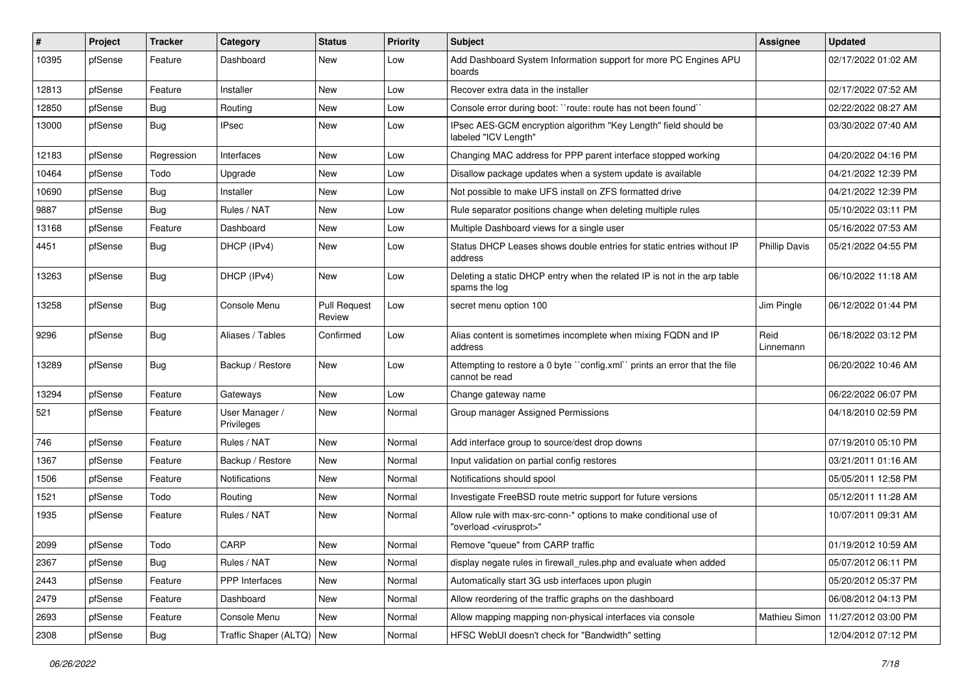| ∦     | Project | <b>Tracker</b> | Category                     | <b>Status</b>                 | <b>Priority</b> | <b>Subject</b>                                                                                          | <b>Assignee</b>      | <b>Updated</b>      |
|-------|---------|----------------|------------------------------|-------------------------------|-----------------|---------------------------------------------------------------------------------------------------------|----------------------|---------------------|
| 10395 | pfSense | Feature        | Dashboard                    | New                           | Low             | Add Dashboard System Information support for more PC Engines APU<br>boards                              |                      | 02/17/2022 01:02 AM |
| 12813 | pfSense | Feature        | Installer                    | New                           | Low             | Recover extra data in the installer                                                                     |                      | 02/17/2022 07:52 AM |
| 12850 | pfSense | <b>Bug</b>     | Routing                      | New                           | Low             | Console error during boot: "route: route has not been found"                                            |                      | 02/22/2022 08:27 AM |
| 13000 | pfSense | Bug            | <b>IPsec</b>                 | New                           | Low             | IPsec AES-GCM encryption algorithm "Key Length" field should be<br>labeled "ICV Length"                 |                      | 03/30/2022 07:40 AM |
| 12183 | pfSense | Regression     | Interfaces                   | New                           | Low             | Changing MAC address for PPP parent interface stopped working                                           |                      | 04/20/2022 04:16 PM |
| 10464 | pfSense | Todo           | Upgrade                      | New                           | Low             | Disallow package updates when a system update is available                                              |                      | 04/21/2022 12:39 PM |
| 10690 | pfSense | Bug            | Installer                    | New                           | Low             | Not possible to make UFS install on ZFS formatted drive                                                 |                      | 04/21/2022 12:39 PM |
| 9887  | pfSense | Bug            | Rules / NAT                  | New                           | Low             | Rule separator positions change when deleting multiple rules                                            |                      | 05/10/2022 03:11 PM |
| 13168 | pfSense | Feature        | Dashboard                    | New                           | Low             | Multiple Dashboard views for a single user                                                              |                      | 05/16/2022 07:53 AM |
| 4451  | pfSense | Bug            | DHCP (IPv4)                  | New                           | Low             | Status DHCP Leases shows double entries for static entries without IP<br>address                        | <b>Phillip Davis</b> | 05/21/2022 04:55 PM |
| 13263 | pfSense | Bug            | DHCP (IPv4)                  | New                           | Low             | Deleting a static DHCP entry when the related IP is not in the arp table<br>spams the log               |                      | 06/10/2022 11:18 AM |
| 13258 | pfSense | <b>Bug</b>     | Console Menu                 | <b>Pull Request</b><br>Review | Low             | secret menu option 100                                                                                  | Jim Pingle           | 06/12/2022 01:44 PM |
| 9296  | pfSense | Bug            | Aliases / Tables             | Confirmed                     | Low             | Alias content is sometimes incomplete when mixing FQDN and IP<br>address                                | Reid<br>Linnemann    | 06/18/2022 03:12 PM |
| 13289 | pfSense | Bug            | Backup / Restore             | New                           | Low             | Attempting to restore a 0 byte "config.xml" prints an error that the file<br>cannot be read             |                      | 06/20/2022 10:46 AM |
| 13294 | pfSense | Feature        | Gateways                     | New                           | Low             | Change gateway name                                                                                     |                      | 06/22/2022 06:07 PM |
| 521   | pfSense | Feature        | User Manager /<br>Privileges | New                           | Normal          | Group manager Assigned Permissions                                                                      |                      | 04/18/2010 02:59 PM |
| 746   | pfSense | Feature        | Rules / NAT                  | New                           | Normal          | Add interface group to source/dest drop downs                                                           |                      | 07/19/2010 05:10 PM |
| 1367  | pfSense | Feature        | Backup / Restore             | New                           | Normal          | Input validation on partial config restores                                                             |                      | 03/21/2011 01:16 AM |
| 1506  | pfSense | Feature        | <b>Notifications</b>         | New                           | Normal          | Notifications should spool                                                                              |                      | 05/05/2011 12:58 PM |
| 1521  | pfSense | Todo           | Routing                      | New                           | Normal          | Investigate FreeBSD route metric support for future versions                                            |                      | 05/12/2011 11:28 AM |
| 1935  | pfSense | Feature        | Rules / NAT                  | New                           | Normal          | Allow rule with max-src-conn-* options to make conditional use of<br>"overload <virusprot>"</virusprot> |                      | 10/07/2011 09:31 AM |
| 2099  | pfSense | Todo           | CARP                         | New                           | Normal          | Remove "queue" from CARP traffic                                                                        |                      | 01/19/2012 10:59 AM |
| 2367  | pfSense | Bug            | Rules / NAT                  | New                           | Normal          | display negate rules in firewall_rules.php and evaluate when added                                      |                      | 05/07/2012 06:11 PM |
| 2443  | pfSense | Feature        | PPP Interfaces               | New                           | Normal          | Automatically start 3G usb interfaces upon plugin                                                       |                      | 05/20/2012 05:37 PM |
| 2479  | pfSense | Feature        | Dashboard                    | New                           | Normal          | Allow reordering of the traffic graphs on the dashboard                                                 |                      | 06/08/2012 04:13 PM |
| 2693  | pfSense | Feature        | Console Menu                 | New                           | Normal          | Allow mapping mapping non-physical interfaces via console                                               | Mathieu Simon        | 11/27/2012 03:00 PM |
| 2308  | pfSense | Bug            | Traffic Shaper (ALTQ)   New  |                               | Normal          | HFSC WebUI doesn't check for "Bandwidth" setting                                                        |                      | 12/04/2012 07:12 PM |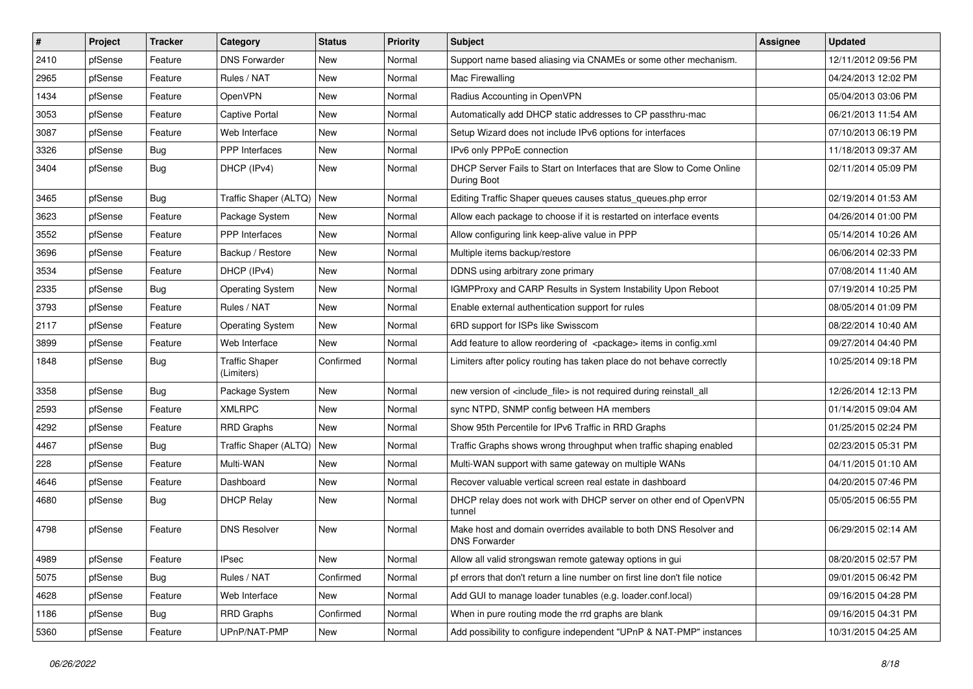| #    | Project | <b>Tracker</b> | Category                            | <b>Status</b> | <b>Priority</b> | <b>Subject</b>                                                                            | Assignee | <b>Updated</b>      |
|------|---------|----------------|-------------------------------------|---------------|-----------------|-------------------------------------------------------------------------------------------|----------|---------------------|
| 2410 | pfSense | Feature        | <b>DNS Forwarder</b>                | New           | Normal          | Support name based aliasing via CNAMEs or some other mechanism.                           |          | 12/11/2012 09:56 PM |
| 2965 | pfSense | Feature        | Rules / NAT                         | New           | Normal          | Mac Firewalling                                                                           |          | 04/24/2013 12:02 PM |
| 1434 | pfSense | Feature        | OpenVPN                             | New           | Normal          | Radius Accounting in OpenVPN                                                              |          | 05/04/2013 03:06 PM |
| 3053 | pfSense | Feature        | <b>Captive Portal</b>               | New           | Normal          | Automatically add DHCP static addresses to CP passthru-mac                                |          | 06/21/2013 11:54 AM |
| 3087 | pfSense | Feature        | Web Interface                       | New           | Normal          | Setup Wizard does not include IPv6 options for interfaces                                 |          | 07/10/2013 06:19 PM |
| 3326 | pfSense | Bug            | <b>PPP</b> Interfaces               | New           | Normal          | IPv6 only PPPoE connection                                                                |          | 11/18/2013 09:37 AM |
| 3404 | pfSense | <b>Bug</b>     | DHCP (IPv4)                         | New           | Normal          | DHCP Server Fails to Start on Interfaces that are Slow to Come Online<br>During Boot      |          | 02/11/2014 05:09 PM |
| 3465 | pfSense | Bug            | Traffic Shaper (ALTQ)               | New           | Normal          | Editing Traffic Shaper queues causes status_queues.php error                              |          | 02/19/2014 01:53 AM |
| 3623 | pfSense | Feature        | Package System                      | New           | Normal          | Allow each package to choose if it is restarted on interface events                       |          | 04/26/2014 01:00 PM |
| 3552 | pfSense | Feature        | PPP Interfaces                      | New           | Normal          | Allow configuring link keep-alive value in PPP                                            |          | 05/14/2014 10:26 AM |
| 3696 | pfSense | Feature        | Backup / Restore                    | New           | Normal          | Multiple items backup/restore                                                             |          | 06/06/2014 02:33 PM |
| 3534 | pfSense | Feature        | DHCP (IPv4)                         | New           | Normal          | DDNS using arbitrary zone primary                                                         |          | 07/08/2014 11:40 AM |
| 2335 | pfSense | Bug            | <b>Operating System</b>             | New           | Normal          | IGMPProxy and CARP Results in System Instability Upon Reboot                              |          | 07/19/2014 10:25 PM |
| 3793 | pfSense | Feature        | Rules / NAT                         | New           | Normal          | Enable external authentication support for rules                                          |          | 08/05/2014 01:09 PM |
| 2117 | pfSense | Feature        | <b>Operating System</b>             | New           | Normal          | 6RD support for ISPs like Swisscom                                                        |          | 08/22/2014 10:40 AM |
| 3899 | pfSense | Feature        | Web Interface                       | New           | Normal          | Add feature to allow reordering of <package> items in config.xml</package>                |          | 09/27/2014 04:40 PM |
| 1848 | pfSense | <b>Bug</b>     | <b>Traffic Shaper</b><br>(Limiters) | Confirmed     | Normal          | Limiters after policy routing has taken place do not behave correctly                     |          | 10/25/2014 09:18 PM |
| 3358 | pfSense | Bug            | Package System                      | New           | Normal          | new version of <include_file> is not required during reinstall_all</include_file>         |          | 12/26/2014 12:13 PM |
| 2593 | pfSense | Feature        | <b>XMLRPC</b>                       | New           | Normal          | sync NTPD, SNMP config between HA members                                                 |          | 01/14/2015 09:04 AM |
| 4292 | pfSense | Feature        | <b>RRD Graphs</b>                   | New           | Normal          | Show 95th Percentile for IPv6 Traffic in RRD Graphs                                       |          | 01/25/2015 02:24 PM |
| 4467 | pfSense | Bug            | Traffic Shaper (ALTQ)               | New           | Normal          | Traffic Graphs shows wrong throughput when traffic shaping enabled                        |          | 02/23/2015 05:31 PM |
| 228  | pfSense | Feature        | Multi-WAN                           | New           | Normal          | Multi-WAN support with same gateway on multiple WANs                                      |          | 04/11/2015 01:10 AM |
| 4646 | pfSense | Feature        | Dashboard                           | New           | Normal          | Recover valuable vertical screen real estate in dashboard                                 |          | 04/20/2015 07:46 PM |
| 4680 | pfSense | Bug            | <b>DHCP Relay</b>                   | New           | Normal          | DHCP relay does not work with DHCP server on other end of OpenVPN<br>tunnel               |          | 05/05/2015 06:55 PM |
| 4798 | pfSense | Feature        | <b>DNS Resolver</b>                 | New           | Normal          | Make host and domain overrides available to both DNS Resolver and<br><b>DNS Forwarder</b> |          | 06/29/2015 02:14 AM |
| 4989 | pfSense | Feature        | <b>IPsec</b>                        | New           | Normal          | Allow all valid strongswan remote gateway options in gui                                  |          | 08/20/2015 02:57 PM |
| 5075 | pfSense | Bug            | Rules / NAT                         | Confirmed     | Normal          | pf errors that don't return a line number on first line don't file notice                 |          | 09/01/2015 06:42 PM |
| 4628 | pfSense | Feature        | Web Interface                       | New           | Normal          | Add GUI to manage loader tunables (e.g. loader.conf.local)                                |          | 09/16/2015 04:28 PM |
| 1186 | pfSense | <b>Bug</b>     | <b>RRD Graphs</b>                   | Confirmed     | Normal          | When in pure routing mode the rrd graphs are blank                                        |          | 09/16/2015 04:31 PM |
| 5360 | pfSense | Feature        | UPnP/NAT-PMP                        | New           | Normal          | Add possibility to configure independent "UPnP & NAT-PMP" instances                       |          | 10/31/2015 04:25 AM |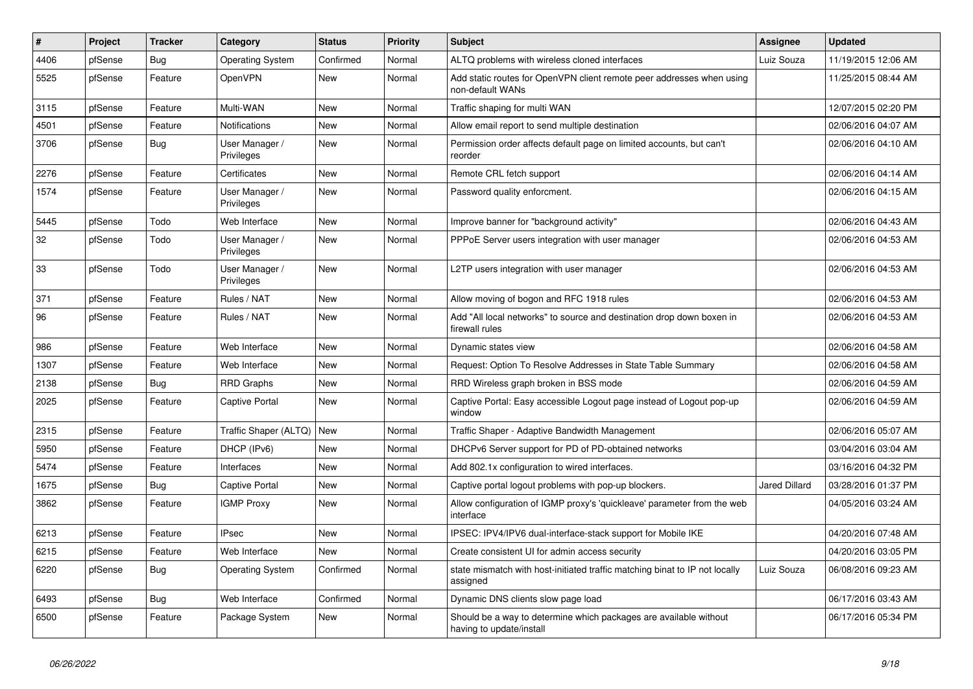| $\vert$ # | Project | <b>Tracker</b> | Category                     | <b>Status</b> | <b>Priority</b> | <b>Subject</b>                                                                                | <b>Assignee</b>      | <b>Updated</b>      |
|-----------|---------|----------------|------------------------------|---------------|-----------------|-----------------------------------------------------------------------------------------------|----------------------|---------------------|
| 4406      | pfSense | Bug            | <b>Operating System</b>      | Confirmed     | Normal          | ALTQ problems with wireless cloned interfaces                                                 | Luiz Souza           | 11/19/2015 12:06 AM |
| 5525      | pfSense | Feature        | OpenVPN                      | New           | Normal          | Add static routes for OpenVPN client remote peer addresses when using<br>non-default WANs     |                      | 11/25/2015 08:44 AM |
| 3115      | pfSense | Feature        | Multi-WAN                    | New           | Normal          | Traffic shaping for multi WAN                                                                 |                      | 12/07/2015 02:20 PM |
| 4501      | pfSense | Feature        | Notifications                | New           | Normal          | Allow email report to send multiple destination                                               |                      | 02/06/2016 04:07 AM |
| 3706      | pfSense | Bug            | User Manager /<br>Privileges | New           | Normal          | Permission order affects default page on limited accounts, but can't<br>reorder               |                      | 02/06/2016 04:10 AM |
| 2276      | pfSense | Feature        | Certificates                 | New           | Normal          | Remote CRL fetch support                                                                      |                      | 02/06/2016 04:14 AM |
| 1574      | pfSense | Feature        | User Manager /<br>Privileges | <b>New</b>    | Normal          | Password quality enforcment.                                                                  |                      | 02/06/2016 04:15 AM |
| 5445      | pfSense | Todo           | Web Interface                | New           | Normal          | Improve banner for "background activity"                                                      |                      | 02/06/2016 04:43 AM |
| 32        | pfSense | Todo           | User Manager /<br>Privileges | New           | Normal          | PPPoE Server users integration with user manager                                              |                      | 02/06/2016 04:53 AM |
| 33        | pfSense | Todo           | User Manager /<br>Privileges | New           | Normal          | L2TP users integration with user manager                                                      |                      | 02/06/2016 04:53 AM |
| 371       | pfSense | Feature        | Rules / NAT                  | New           | Normal          | Allow moving of bogon and RFC 1918 rules                                                      |                      | 02/06/2016 04:53 AM |
| 96        | pfSense | Feature        | Rules / NAT                  | New           | Normal          | Add "All local networks" to source and destination drop down boxen in<br>firewall rules       |                      | 02/06/2016 04:53 AM |
| 986       | pfSense | Feature        | Web Interface                | <b>New</b>    | Normal          | Dynamic states view                                                                           |                      | 02/06/2016 04:58 AM |
| 1307      | pfSense | Feature        | Web Interface                | <b>New</b>    | Normal          | Request: Option To Resolve Addresses in State Table Summary                                   |                      | 02/06/2016 04:58 AM |
| 2138      | pfSense | <b>Bug</b>     | <b>RRD Graphs</b>            | New           | Normal          | RRD Wireless graph broken in BSS mode                                                         |                      | 02/06/2016 04:59 AM |
| 2025      | pfSense | Feature        | Captive Portal               | <b>New</b>    | Normal          | Captive Portal: Easy accessible Logout page instead of Logout pop-up<br>window                |                      | 02/06/2016 04:59 AM |
| 2315      | pfSense | Feature        | Traffic Shaper (ALTQ)   New  |               | Normal          | Traffic Shaper - Adaptive Bandwidth Management                                                |                      | 02/06/2016 05:07 AM |
| 5950      | pfSense | Feature        | DHCP (IPv6)                  | New           | Normal          | DHCPv6 Server support for PD of PD-obtained networks                                          |                      | 03/04/2016 03:04 AM |
| 5474      | pfSense | Feature        | Interfaces                   | New           | Normal          | Add 802.1x configuration to wired interfaces.                                                 |                      | 03/16/2016 04:32 PM |
| 1675      | pfSense | Bug            | Captive Portal               | New           | Normal          | Captive portal logout problems with pop-up blockers.                                          | <b>Jared Dillard</b> | 03/28/2016 01:37 PM |
| 3862      | pfSense | Feature        | <b>IGMP Proxy</b>            | New           | Normal          | Allow configuration of IGMP proxy's 'quickleave' parameter from the web<br>interface          |                      | 04/05/2016 03:24 AM |
| 6213      | pfSense | Feature        | <b>IPsec</b>                 | New           | Normal          | IPSEC: IPV4/IPV6 dual-interface-stack support for Mobile IKE                                  |                      | 04/20/2016 07:48 AM |
| 6215      | pfSense | Feature        | Web Interface                | New           | Normal          | Create consistent UI for admin access security                                                |                      | 04/20/2016 03:05 PM |
| 6220      | pfSense | Bug            | <b>Operating System</b>      | Confirmed     | Normal          | state mismatch with host-initiated traffic matching binat to IP not locally<br>assigned       | Luiz Souza           | 06/08/2016 09:23 AM |
| 6493      | pfSense | <b>Bug</b>     | Web Interface                | Confirmed     | Normal          | Dynamic DNS clients slow page load                                                            |                      | 06/17/2016 03:43 AM |
| 6500      | pfSense | Feature        | Package System               | New           | Normal          | Should be a way to determine which packages are available without<br>having to update/install |                      | 06/17/2016 05:34 PM |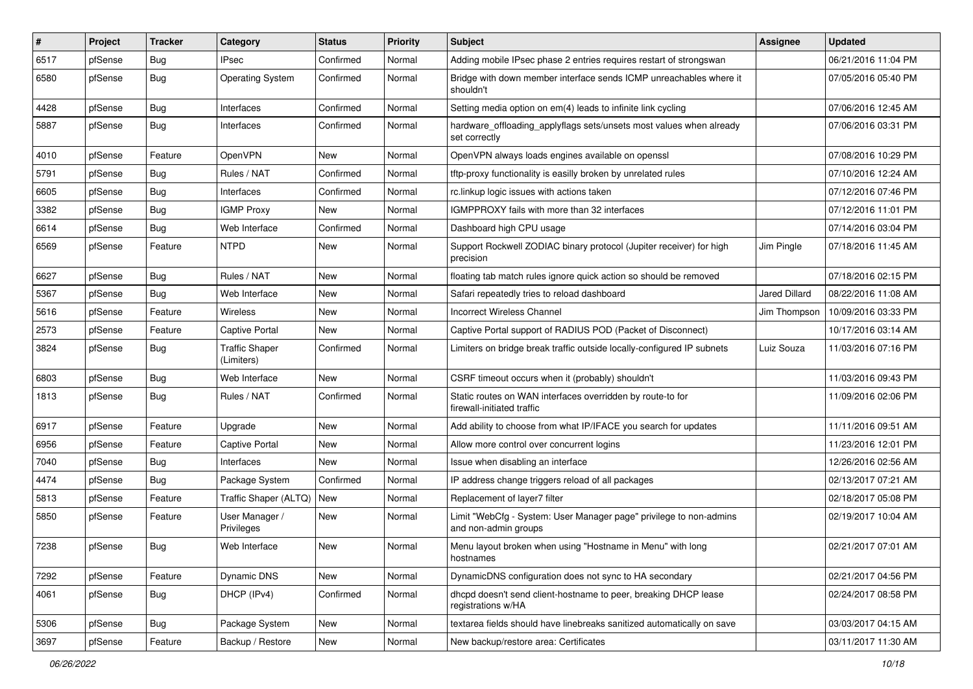| $\vert$ # | Project | <b>Tracker</b> | Category                            | <b>Status</b> | <b>Priority</b> | <b>Subject</b>                                                                             | <b>Assignee</b>      | <b>Updated</b>      |
|-----------|---------|----------------|-------------------------------------|---------------|-----------------|--------------------------------------------------------------------------------------------|----------------------|---------------------|
| 6517      | pfSense | Bug            | IPsec                               | Confirmed     | Normal          | Adding mobile IPsec phase 2 entries requires restart of strongswan                         |                      | 06/21/2016 11:04 PM |
| 6580      | pfSense | <b>Bug</b>     | <b>Operating System</b>             | Confirmed     | Normal          | Bridge with down member interface sends ICMP unreachables where it<br>shouldn't            |                      | 07/05/2016 05:40 PM |
| 4428      | pfSense | <b>Bug</b>     | Interfaces                          | Confirmed     | Normal          | Setting media option on em(4) leads to infinite link cycling                               |                      | 07/06/2016 12:45 AM |
| 5887      | pfSense | <b>Bug</b>     | Interfaces                          | Confirmed     | Normal          | hardware_offloading_applyflags sets/unsets most values when already<br>set correctly       |                      | 07/06/2016 03:31 PM |
| 4010      | pfSense | Feature        | OpenVPN                             | New           | Normal          | OpenVPN always loads engines available on openssl                                          |                      | 07/08/2016 10:29 PM |
| 5791      | pfSense | Bug            | Rules / NAT                         | Confirmed     | Normal          | tftp-proxy functionality is easilly broken by unrelated rules                              |                      | 07/10/2016 12:24 AM |
| 6605      | pfSense | <b>Bug</b>     | Interfaces                          | Confirmed     | Normal          | rc.linkup logic issues with actions taken                                                  |                      | 07/12/2016 07:46 PM |
| 3382      | pfSense | <b>Bug</b>     | <b>IGMP Proxy</b>                   | New           | Normal          | IGMPPROXY fails with more than 32 interfaces                                               |                      | 07/12/2016 11:01 PM |
| 6614      | pfSense | Bug            | Web Interface                       | Confirmed     | Normal          | Dashboard high CPU usage                                                                   |                      | 07/14/2016 03:04 PM |
| 6569      | pfSense | Feature        | <b>NTPD</b>                         | New           | Normal          | Support Rockwell ZODIAC binary protocol (Jupiter receiver) for high<br>precision           | Jim Pingle           | 07/18/2016 11:45 AM |
| 6627      | pfSense | Bug            | Rules / NAT                         | New           | Normal          | floating tab match rules ignore quick action so should be removed                          |                      | 07/18/2016 02:15 PM |
| 5367      | pfSense | Bug            | Web Interface                       | New           | Normal          | Safari repeatedly tries to reload dashboard                                                | <b>Jared Dillard</b> | 08/22/2016 11:08 AM |
| 5616      | pfSense | Feature        | Wireless                            | New           | Normal          | Incorrect Wireless Channel                                                                 | Jim Thompson         | 10/09/2016 03:33 PM |
| 2573      | pfSense | Feature        | Captive Portal                      | New           | Normal          | Captive Portal support of RADIUS POD (Packet of Disconnect)                                |                      | 10/17/2016 03:14 AM |
| 3824      | pfSense | <b>Bug</b>     | <b>Traffic Shaper</b><br>(Limiters) | Confirmed     | Normal          | Limiters on bridge break traffic outside locally-configured IP subnets                     | Luiz Souza           | 11/03/2016 07:16 PM |
| 6803      | pfSense | Bug            | Web Interface                       | New           | Normal          | CSRF timeout occurs when it (probably) shouldn't                                           |                      | 11/03/2016 09:43 PM |
| 1813      | pfSense | Bug            | Rules / NAT                         | Confirmed     | Normal          | Static routes on WAN interfaces overridden by route-to for<br>firewall-initiated traffic   |                      | 11/09/2016 02:06 PM |
| 6917      | pfSense | Feature        | Upgrade                             | New           | Normal          | Add ability to choose from what IP/IFACE you search for updates                            |                      | 11/11/2016 09:51 AM |
| 6956      | pfSense | Feature        | Captive Portal                      | New           | Normal          | Allow more control over concurrent logins                                                  |                      | 11/23/2016 12:01 PM |
| 7040      | pfSense | Bug            | Interfaces                          | New           | Normal          | Issue when disabling an interface                                                          |                      | 12/26/2016 02:56 AM |
| 4474      | pfSense | Bug            | Package System                      | Confirmed     | Normal          | IP address change triggers reload of all packages                                          |                      | 02/13/2017 07:21 AM |
| 5813      | pfSense | Feature        | Traffic Shaper (ALTQ)               | New           | Normal          | Replacement of layer7 filter                                                               |                      | 02/18/2017 05:08 PM |
| 5850      | pfSense | Feature        | User Manager /<br>Privileges        | New           | Normal          | Limit "WebCfg - System: User Manager page" privilege to non-admins<br>and non-admin groups |                      | 02/19/2017 10:04 AM |
| 7238      | pfSense | Bug            | Web Interface                       | New           | Normal          | Menu layout broken when using "Hostname in Menu" with long<br>hostnames                    |                      | 02/21/2017 07:01 AM |
| 7292      | pfSense | Feature        | Dynamic DNS                         | New           | Normal          | DynamicDNS configuration does not sync to HA secondary                                     |                      | 02/21/2017 04:56 PM |
| 4061      | pfSense | <b>Bug</b>     | DHCP (IPv4)                         | Confirmed     | Normal          | dhcpd doesn't send client-hostname to peer, breaking DHCP lease<br>registrations w/HA      |                      | 02/24/2017 08:58 PM |
| 5306      | pfSense | Bug            | Package System                      | New           | Normal          | textarea fields should have linebreaks sanitized automatically on save                     |                      | 03/03/2017 04:15 AM |
| 3697      | pfSense | Feature        | Backup / Restore                    | New           | Normal          | New backup/restore area: Certificates                                                      |                      | 03/11/2017 11:30 AM |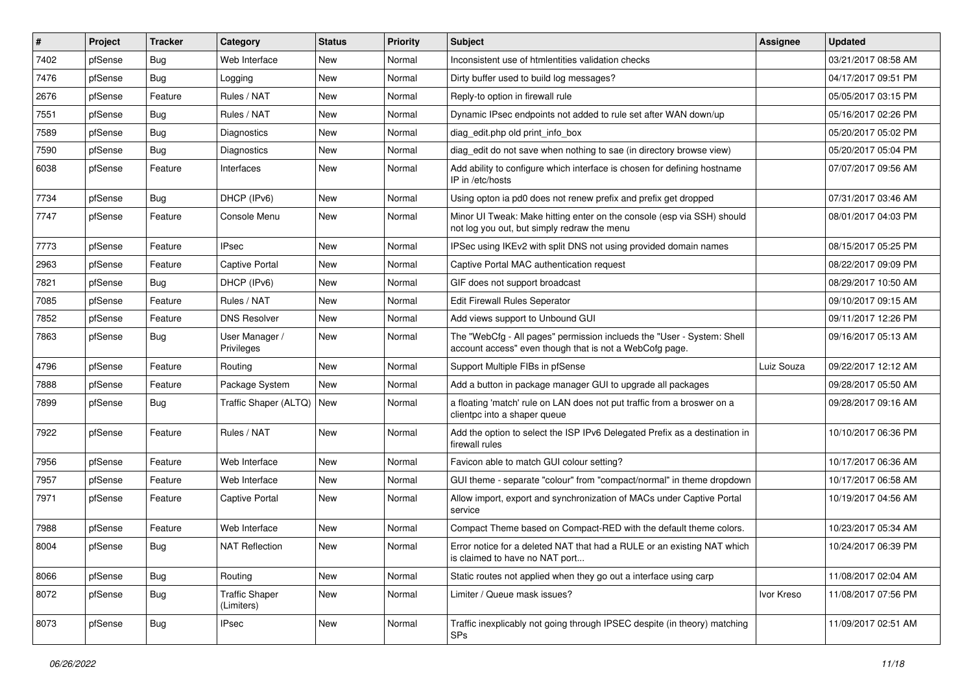| $\vert$ # | Project | <b>Tracker</b> | Category                            | <b>Status</b> | <b>Priority</b> | <b>Subject</b>                                                                                                                    | <b>Assignee</b> | <b>Updated</b>      |
|-----------|---------|----------------|-------------------------------------|---------------|-----------------|-----------------------------------------------------------------------------------------------------------------------------------|-----------------|---------------------|
| 7402      | pfSense | <b>Bug</b>     | Web Interface                       | New           | Normal          | Inconsistent use of htmlentities validation checks                                                                                |                 | 03/21/2017 08:58 AM |
| 7476      | pfSense | Bug            | Logging                             | New           | Normal          | Dirty buffer used to build log messages?                                                                                          |                 | 04/17/2017 09:51 PM |
| 2676      | pfSense | Feature        | Rules / NAT                         | New           | Normal          | Reply-to option in firewall rule                                                                                                  |                 | 05/05/2017 03:15 PM |
| 7551      | pfSense | <b>Bug</b>     | Rules / NAT                         | New           | Normal          | Dynamic IPsec endpoints not added to rule set after WAN down/up                                                                   |                 | 05/16/2017 02:26 PM |
| 7589      | pfSense | Bug            | Diagnostics                         | New           | Normal          | diag_edit.php old print_info_box                                                                                                  |                 | 05/20/2017 05:02 PM |
| 7590      | pfSense | <b>Bug</b>     | Diagnostics                         | New           | Normal          | diag edit do not save when nothing to sae (in directory browse view)                                                              |                 | 05/20/2017 05:04 PM |
| 6038      | pfSense | Feature        | Interfaces                          | New           | Normal          | Add ability to configure which interface is chosen for defining hostname<br>IP in /etc/hosts                                      |                 | 07/07/2017 09:56 AM |
| 7734      | pfSense | Bug            | DHCP (IPv6)                         | New           | Normal          | Using opton ia pd0 does not renew prefix and prefix get dropped                                                                   |                 | 07/31/2017 03:46 AM |
| 7747      | pfSense | Feature        | Console Menu                        | New           | Normal          | Minor UI Tweak: Make hitting enter on the console (esp via SSH) should<br>not log you out, but simply redraw the menu             |                 | 08/01/2017 04:03 PM |
| 7773      | pfSense | Feature        | <b>IPsec</b>                        | New           | Normal          | IPSec using IKEv2 with split DNS not using provided domain names                                                                  |                 | 08/15/2017 05:25 PM |
| 2963      | pfSense | Feature        | Captive Portal                      | New           | Normal          | Captive Portal MAC authentication request                                                                                         |                 | 08/22/2017 09:09 PM |
| 7821      | pfSense | Bug            | DHCP (IPv6)                         | New           | Normal          | GIF does not support broadcast                                                                                                    |                 | 08/29/2017 10:50 AM |
| 7085      | pfSense | Feature        | Rules / NAT                         | New           | Normal          | <b>Edit Firewall Rules Seperator</b>                                                                                              |                 | 09/10/2017 09:15 AM |
| 7852      | pfSense | Feature        | <b>DNS Resolver</b>                 | New           | Normal          | Add views support to Unbound GUI                                                                                                  |                 | 09/11/2017 12:26 PM |
| 7863      | pfSense | <b>Bug</b>     | User Manager /<br>Privileges        | New           | Normal          | The "WebCfg - All pages" permission inclueds the "User - System: Shell<br>account access" even though that is not a WebCofg page. |                 | 09/16/2017 05:13 AM |
| 4796      | pfSense | Feature        | Routing                             | New           | Normal          | Support Multiple FIBs in pfSense                                                                                                  | Luiz Souza      | 09/22/2017 12:12 AM |
| 7888      | pfSense | Feature        | Package System                      | New           | Normal          | Add a button in package manager GUI to upgrade all packages                                                                       |                 | 09/28/2017 05:50 AM |
| 7899      | pfSense | Bug            | Traffic Shaper (ALTQ)               | New           | Normal          | a floating 'match' rule on LAN does not put traffic from a broswer on a<br>clientpc into a shaper queue                           |                 | 09/28/2017 09:16 AM |
| 7922      | pfSense | Feature        | Rules / NAT                         | New           | Normal          | Add the option to select the ISP IPv6 Delegated Prefix as a destination in<br>firewall rules                                      |                 | 10/10/2017 06:36 PM |
| 7956      | pfSense | Feature        | Web Interface                       | New           | Normal          | Favicon able to match GUI colour setting?                                                                                         |                 | 10/17/2017 06:36 AM |
| 7957      | pfSense | Feature        | Web Interface                       | New           | Normal          | GUI theme - separate "colour" from "compact/normal" in theme dropdown                                                             |                 | 10/17/2017 06:58 AM |
| 7971      | pfSense | Feature        | Captive Portal                      | New           | Normal          | Allow import, export and synchronization of MACs under Captive Portal<br>service                                                  |                 | 10/19/2017 04:56 AM |
| 7988      | pfSense | Feature        | Web Interface                       | New           | Normal          | Compact Theme based on Compact-RED with the default theme colors.                                                                 |                 | 10/23/2017 05:34 AM |
| 8004      | pfSense | Bug            | <b>NAT Reflection</b>               | New           | Normal          | Error notice for a deleted NAT that had a RULE or an existing NAT which<br>is claimed to have no NAT port                         |                 | 10/24/2017 06:39 PM |
| 8066      | pfSense | <b>Bug</b>     | Routing                             | New           | Normal          | Static routes not applied when they go out a interface using carp                                                                 |                 | 11/08/2017 02:04 AM |
| 8072      | pfSense | <b>Bug</b>     | <b>Traffic Shaper</b><br>(Limiters) | New           | Normal          | Limiter / Queue mask issues?                                                                                                      | Ivor Kreso      | 11/08/2017 07:56 PM |
| 8073      | pfSense | <b>Bug</b>     | <b>IPsec</b>                        | New           | Normal          | Traffic inexplicably not going through IPSEC despite (in theory) matching<br>SPs                                                  |                 | 11/09/2017 02:51 AM |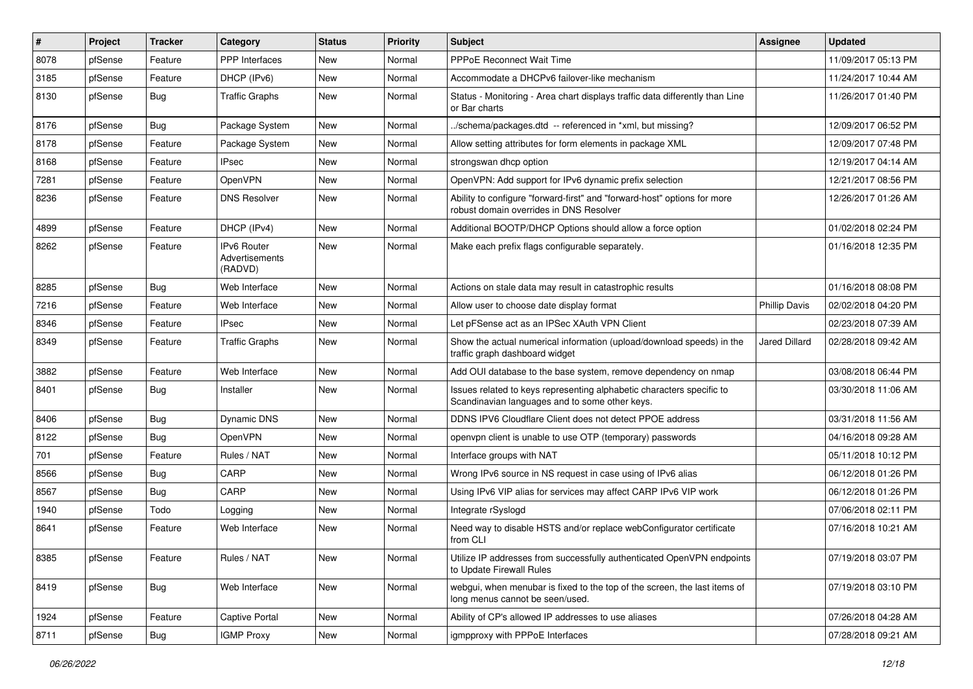| #    | Project | <b>Tracker</b> | Category                                 | <b>Status</b> | <b>Priority</b> | Subject                                                                                                                 | <b>Assignee</b>      | <b>Updated</b>      |
|------|---------|----------------|------------------------------------------|---------------|-----------------|-------------------------------------------------------------------------------------------------------------------------|----------------------|---------------------|
| 8078 | pfSense | Feature        | <b>PPP</b> Interfaces                    | New           | Normal          | PPPoE Reconnect Wait Time                                                                                               |                      | 11/09/2017 05:13 PM |
| 3185 | pfSense | Feature        | DHCP (IPv6)                              | New           | Normal          | Accommodate a DHCPv6 failover-like mechanism                                                                            |                      | 11/24/2017 10:44 AM |
| 8130 | pfSense | <b>Bug</b>     | <b>Traffic Graphs</b>                    | New           | Normal          | Status - Monitoring - Area chart displays traffic data differently than Line<br>or Bar charts                           |                      | 11/26/2017 01:40 PM |
| 8176 | pfSense | Bug            | Package System                           | <b>New</b>    | Normal          | ./schema/packages.dtd -- referenced in *xml, but missing?                                                               |                      | 12/09/2017 06:52 PM |
| 8178 | pfSense | Feature        | Package System                           | New           | Normal          | Allow setting attributes for form elements in package XML                                                               |                      | 12/09/2017 07:48 PM |
| 8168 | pfSense | Feature        | <b>IPsec</b>                             | New           | Normal          | strongswan dhcp option                                                                                                  |                      | 12/19/2017 04:14 AM |
| 7281 | pfSense | Feature        | OpenVPN                                  | New           | Normal          | OpenVPN: Add support for IPv6 dynamic prefix selection                                                                  |                      | 12/21/2017 08:56 PM |
| 8236 | pfSense | Feature        | <b>DNS Resolver</b>                      | New           | Normal          | Ability to configure "forward-first" and "forward-host" options for more<br>robust domain overrides in DNS Resolver     |                      | 12/26/2017 01:26 AM |
| 4899 | pfSense | Feature        | DHCP (IPv4)                              | New           | Normal          | Additional BOOTP/DHCP Options should allow a force option                                                               |                      | 01/02/2018 02:24 PM |
| 8262 | pfSense | Feature        | IPv6 Router<br>Advertisements<br>(RADVD) | New           | Normal          | Make each prefix flags configurable separately.                                                                         |                      | 01/16/2018 12:35 PM |
| 8285 | pfSense | Bug            | Web Interface                            | New           | Normal          | Actions on stale data may result in catastrophic results                                                                |                      | 01/16/2018 08:08 PM |
| 7216 | pfSense | Feature        | Web Interface                            | New           | Normal          | Allow user to choose date display format                                                                                | <b>Phillip Davis</b> | 02/02/2018 04:20 PM |
| 8346 | pfSense | Feature        | IPsec                                    | New           | Normal          | Let pFSense act as an IPSec XAuth VPN Client                                                                            |                      | 02/23/2018 07:39 AM |
| 8349 | pfSense | Feature        | <b>Traffic Graphs</b>                    | New           | Normal          | Show the actual numerical information (upload/download speeds) in the<br>traffic graph dashboard widget                 | Jared Dillard        | 02/28/2018 09:42 AM |
| 3882 | pfSense | Feature        | Web Interface                            | New           | Normal          | Add OUI database to the base system, remove dependency on nmap                                                          |                      | 03/08/2018 06:44 PM |
| 8401 | pfSense | Bug            | Installer                                | New           | Normal          | Issues related to keys representing alphabetic characters specific to<br>Scandinavian languages and to some other keys. |                      | 03/30/2018 11:06 AM |
| 8406 | pfSense | Bug            | <b>Dynamic DNS</b>                       | New           | Normal          | DDNS IPV6 Cloudflare Client does not detect PPOE address                                                                |                      | 03/31/2018 11:56 AM |
| 8122 | pfSense | <b>Bug</b>     | OpenVPN                                  | New           | Normal          | openvpn client is unable to use OTP (temporary) passwords                                                               |                      | 04/16/2018 09:28 AM |
| 701  | pfSense | Feature        | Rules / NAT                              | New           | Normal          | Interface groups with NAT                                                                                               |                      | 05/11/2018 10:12 PM |
| 8566 | pfSense | <b>Bug</b>     | CARP                                     | New           | Normal          | Wrong IPv6 source in NS request in case using of IPv6 alias                                                             |                      | 06/12/2018 01:26 PM |
| 8567 | pfSense | <b>Bug</b>     | CARP                                     | New           | Normal          | Using IPv6 VIP alias for services may affect CARP IPv6 VIP work                                                         |                      | 06/12/2018 01:26 PM |
| 1940 | pfSense | Todo           | Logging                                  | New           | Normal          | Integrate rSyslogd                                                                                                      |                      | 07/06/2018 02:11 PM |
| 8641 | pfSense | Feature        | Web Interface                            | New           | Normal          | Need way to disable HSTS and/or replace webConfigurator certificate<br>from CLI                                         |                      | 07/16/2018 10:21 AM |
| 8385 | pfSense | Feature        | Rules / NAT                              | New           | Normal          | Utilize IP addresses from successfully authenticated OpenVPN endpoints<br>to Update Firewall Rules                      |                      | 07/19/2018 03:07 PM |
| 8419 | pfSense | <b>Bug</b>     | Web Interface                            | New           | Normal          | webgui, when menubar is fixed to the top of the screen, the last items of<br>long menus cannot be seen/used.            |                      | 07/19/2018 03:10 PM |
| 1924 | pfSense | Feature        | Captive Portal                           | New           | Normal          | Ability of CP's allowed IP addresses to use aliases                                                                     |                      | 07/26/2018 04:28 AM |
| 8711 | pfSense | Bug            | <b>IGMP Proxy</b>                        | New           | Normal          | igmpproxy with PPPoE Interfaces                                                                                         |                      | 07/28/2018 09:21 AM |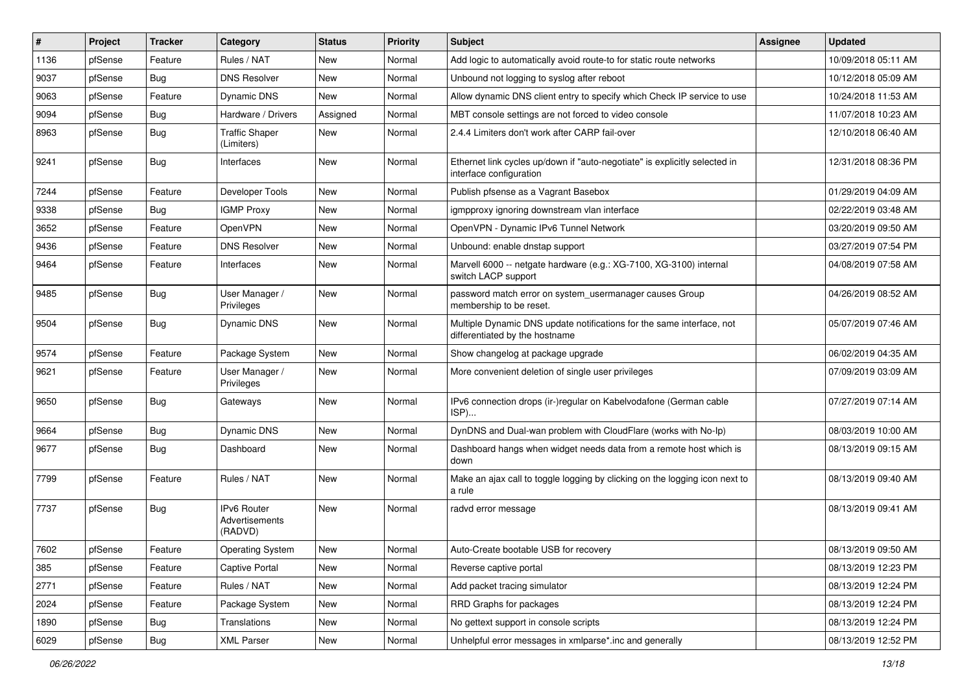| #    | Project | <b>Tracker</b> | Category                                 | <b>Status</b> | <b>Priority</b> | Subject                                                                                                 | <b>Assignee</b> | <b>Updated</b>      |
|------|---------|----------------|------------------------------------------|---------------|-----------------|---------------------------------------------------------------------------------------------------------|-----------------|---------------------|
| 1136 | pfSense | Feature        | Rules / NAT                              | New           | Normal          | Add logic to automatically avoid route-to for static route networks                                     |                 | 10/09/2018 05:11 AM |
| 9037 | pfSense | <b>Bug</b>     | <b>DNS Resolver</b>                      | New           | Normal          | Unbound not logging to syslog after reboot                                                              |                 | 10/12/2018 05:09 AM |
| 9063 | pfSense | Feature        | Dynamic DNS                              | New           | Normal          | Allow dynamic DNS client entry to specify which Check IP service to use                                 |                 | 10/24/2018 11:53 AM |
| 9094 | pfSense | <b>Bug</b>     | Hardware / Drivers                       | Assigned      | Normal          | MBT console settings are not forced to video console                                                    |                 | 11/07/2018 10:23 AM |
| 8963 | pfSense | Bug            | <b>Traffic Shaper</b><br>(Limiters)      | New           | Normal          | 2.4.4 Limiters don't work after CARP fail-over                                                          |                 | 12/10/2018 06:40 AM |
| 9241 | pfSense | <b>Bug</b>     | Interfaces                               | New           | Normal          | Ethernet link cycles up/down if "auto-negotiate" is explicitly selected in<br>interface configuration   |                 | 12/31/2018 08:36 PM |
| 7244 | pfSense | Feature        | Developer Tools                          | New           | Normal          | Publish pfsense as a Vagrant Basebox                                                                    |                 | 01/29/2019 04:09 AM |
| 9338 | pfSense | <b>Bug</b>     | <b>IGMP Proxy</b>                        | New           | Normal          | igmpproxy ignoring downstream vlan interface                                                            |                 | 02/22/2019 03:48 AM |
| 3652 | pfSense | Feature        | OpenVPN                                  | New           | Normal          | OpenVPN - Dynamic IPv6 Tunnel Network                                                                   |                 | 03/20/2019 09:50 AM |
| 9436 | pfSense | Feature        | <b>DNS Resolver</b>                      | New           | Normal          | Unbound: enable dnstap support                                                                          |                 | 03/27/2019 07:54 PM |
| 9464 | pfSense | Feature        | Interfaces                               | <b>New</b>    | Normal          | Marvell 6000 -- netgate hardware (e.g.: XG-7100, XG-3100) internal<br>switch LACP support               |                 | 04/08/2019 07:58 AM |
| 9485 | pfSense | Bug            | User Manager /<br>Privileges             | New           | Normal          | password match error on system_usermanager causes Group<br>membership to be reset.                      |                 | 04/26/2019 08:52 AM |
| 9504 | pfSense | Bug            | Dynamic DNS                              | New           | Normal          | Multiple Dynamic DNS update notifications for the same interface, not<br>differentiated by the hostname |                 | 05/07/2019 07:46 AM |
| 9574 | pfSense | Feature        | Package System                           | New           | Normal          | Show changelog at package upgrade                                                                       |                 | 06/02/2019 04:35 AM |
| 9621 | pfSense | Feature        | User Manager /<br>Privileges             | New           | Normal          | More convenient deletion of single user privileges                                                      |                 | 07/09/2019 03:09 AM |
| 9650 | pfSense | <b>Bug</b>     | Gateways                                 | New           | Normal          | IPv6 connection drops (ir-)regular on Kabelvodafone (German cable<br>ISP)                               |                 | 07/27/2019 07:14 AM |
| 9664 | pfSense | Bug            | Dynamic DNS                              | New           | Normal          | DynDNS and Dual-wan problem with CloudFlare (works with No-Ip)                                          |                 | 08/03/2019 10:00 AM |
| 9677 | pfSense | <b>Bug</b>     | Dashboard                                | New           | Normal          | Dashboard hangs when widget needs data from a remote host which is<br>down                              |                 | 08/13/2019 09:15 AM |
| 7799 | pfSense | Feature        | Rules / NAT                              | New           | Normal          | Make an ajax call to toggle logging by clicking on the logging icon next to<br>a rule                   |                 | 08/13/2019 09:40 AM |
| 7737 | pfSense | <b>Bug</b>     | IPv6 Router<br>Advertisements<br>(RADVD) | New           | Normal          | radvd error message                                                                                     |                 | 08/13/2019 09:41 AM |
| 7602 | pfSense | Feature        | Operating System                         | New           | Normal          | Auto-Create bootable USB for recovery                                                                   |                 | 08/13/2019 09:50 AM |
| 385  | pfSense | Feature        | Captive Portal                           | New           | Normal          | Reverse captive portal                                                                                  |                 | 08/13/2019 12:23 PM |
| 2771 | pfSense | Feature        | Rules / NAT                              | New           | Normal          | Add packet tracing simulator                                                                            |                 | 08/13/2019 12:24 PM |
| 2024 | pfSense | Feature        | Package System                           | New           | Normal          | RRD Graphs for packages                                                                                 |                 | 08/13/2019 12:24 PM |
| 1890 | pfSense | <b>Bug</b>     | Translations                             | New           | Normal          | No gettext support in console scripts                                                                   |                 | 08/13/2019 12:24 PM |
| 6029 | pfSense | Bug            | <b>XML Parser</b>                        | New           | Normal          | Unhelpful error messages in xmlparse*.inc and generally                                                 |                 | 08/13/2019 12:52 PM |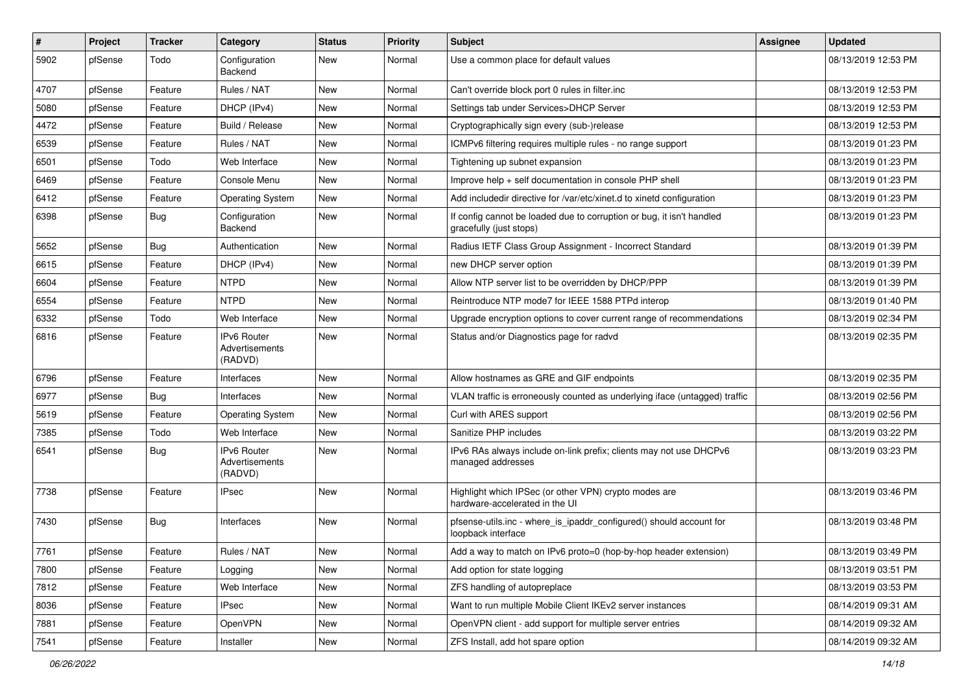| $\sharp$ | Project | <b>Tracker</b> | Category                                        | <b>Status</b> | <b>Priority</b> | Subject                                                                                          | <b>Assignee</b> | <b>Updated</b>      |
|----------|---------|----------------|-------------------------------------------------|---------------|-----------------|--------------------------------------------------------------------------------------------------|-----------------|---------------------|
| 5902     | pfSense | Todo           | Configuration<br>Backend                        | New           | Normal          | Use a common place for default values                                                            |                 | 08/13/2019 12:53 PM |
| 4707     | pfSense | Feature        | Rules / NAT                                     | New           | Normal          | Can't override block port 0 rules in filter.inc                                                  |                 | 08/13/2019 12:53 PM |
| 5080     | pfSense | Feature        | DHCP (IPv4)                                     | New           | Normal          | Settings tab under Services>DHCP Server                                                          |                 | 08/13/2019 12:53 PM |
| 4472     | pfSense | Feature        | Build / Release                                 | New           | Normal          | Cryptographically sign every (sub-)release                                                       |                 | 08/13/2019 12:53 PM |
| 6539     | pfSense | Feature        | Rules / NAT                                     | New           | Normal          | ICMPv6 filtering requires multiple rules - no range support                                      |                 | 08/13/2019 01:23 PM |
| 6501     | pfSense | Todo           | Web Interface                                   | New           | Normal          | Tightening up subnet expansion                                                                   |                 | 08/13/2019 01:23 PM |
| 6469     | pfSense | Feature        | Console Menu                                    | New           | Normal          | Improve help + self documentation in console PHP shell                                           |                 | 08/13/2019 01:23 PM |
| 6412     | pfSense | Feature        | <b>Operating System</b>                         | New           | Normal          | Add includedir directive for /var/etc/xinet.d to xinetd configuration                            |                 | 08/13/2019 01:23 PM |
| 6398     | pfSense | Bug            | Configuration<br>Backend                        | New           | Normal          | If config cannot be loaded due to corruption or bug, it isn't handled<br>gracefully (just stops) |                 | 08/13/2019 01:23 PM |
| 5652     | pfSense | <b>Bug</b>     | Authentication                                  | New           | Normal          | Radius IETF Class Group Assignment - Incorrect Standard                                          |                 | 08/13/2019 01:39 PM |
| 6615     | pfSense | Feature        | DHCP (IPv4)                                     | New           | Normal          | new DHCP server option                                                                           |                 | 08/13/2019 01:39 PM |
| 6604     | pfSense | Feature        | <b>NTPD</b>                                     | New           | Normal          | Allow NTP server list to be overridden by DHCP/PPP                                               |                 | 08/13/2019 01:39 PM |
| 6554     | pfSense | Feature        | <b>NTPD</b>                                     | New           | Normal          | Reintroduce NTP mode7 for IEEE 1588 PTPd interop                                                 |                 | 08/13/2019 01:40 PM |
| 6332     | pfSense | Todo           | Web Interface                                   | New           | Normal          | Upgrade encryption options to cover current range of recommendations                             |                 | 08/13/2019 02:34 PM |
| 6816     | pfSense | Feature        | <b>IPv6 Router</b><br>Advertisements<br>(RADVD) | New           | Normal          | Status and/or Diagnostics page for radvd                                                         |                 | 08/13/2019 02:35 PM |
| 6796     | pfSense | Feature        | Interfaces                                      | New           | Normal          | Allow hostnames as GRE and GIF endpoints                                                         |                 | 08/13/2019 02:35 PM |
| 6977     | pfSense | Bug            | Interfaces                                      | New           | Normal          | VLAN traffic is erroneously counted as underlying iface (untagged) traffic                       |                 | 08/13/2019 02:56 PM |
| 5619     | pfSense | Feature        | <b>Operating System</b>                         | New           | Normal          | Curl with ARES support                                                                           |                 | 08/13/2019 02:56 PM |
| 7385     | pfSense | Todo           | Web Interface                                   | New           | Normal          | Sanitize PHP includes                                                                            |                 | 08/13/2019 03:22 PM |
| 6541     | pfSense | Bug            | IPv6 Router<br>Advertisements<br>(RADVD)        | New           | Normal          | IPv6 RAs always include on-link prefix; clients may not use DHCPv6<br>managed addresses          |                 | 08/13/2019 03:23 PM |
| 7738     | pfSense | Feature        | <b>IPsec</b>                                    | New           | Normal          | Highlight which IPSec (or other VPN) crypto modes are<br>hardware-accelerated in the UI          |                 | 08/13/2019 03:46 PM |
| 7430     | pfSense | Bug            | Interfaces                                      | New           | Normal          | pfsense-utils.inc - where_is_ipaddr_configured() should account for<br>loopback interface        |                 | 08/13/2019 03:48 PM |
| 7761     | pfSense | Feature        | Rules / NAT                                     | New           | Normal          | Add a way to match on IPv6 proto=0 (hop-by-hop header extension)                                 |                 | 08/13/2019 03:49 PM |
| 7800     | pfSense | Feature        | Logging                                         | New           | Normal          | Add option for state logging                                                                     |                 | 08/13/2019 03:51 PM |
| 7812     | pfSense | Feature        | Web Interface                                   | New           | Normal          | ZFS handling of autopreplace                                                                     |                 | 08/13/2019 03:53 PM |
| 8036     | pfSense | Feature        | <b>IPsec</b>                                    | New           | Normal          | Want to run multiple Mobile Client IKEv2 server instances                                        |                 | 08/14/2019 09:31 AM |
| 7881     | pfSense | Feature        | OpenVPN                                         | New           | Normal          | OpenVPN client - add support for multiple server entries                                         |                 | 08/14/2019 09:32 AM |
| 7541     | pfSense | Feature        | Installer                                       | New           | Normal          | ZFS Install, add hot spare option                                                                |                 | 08/14/2019 09:32 AM |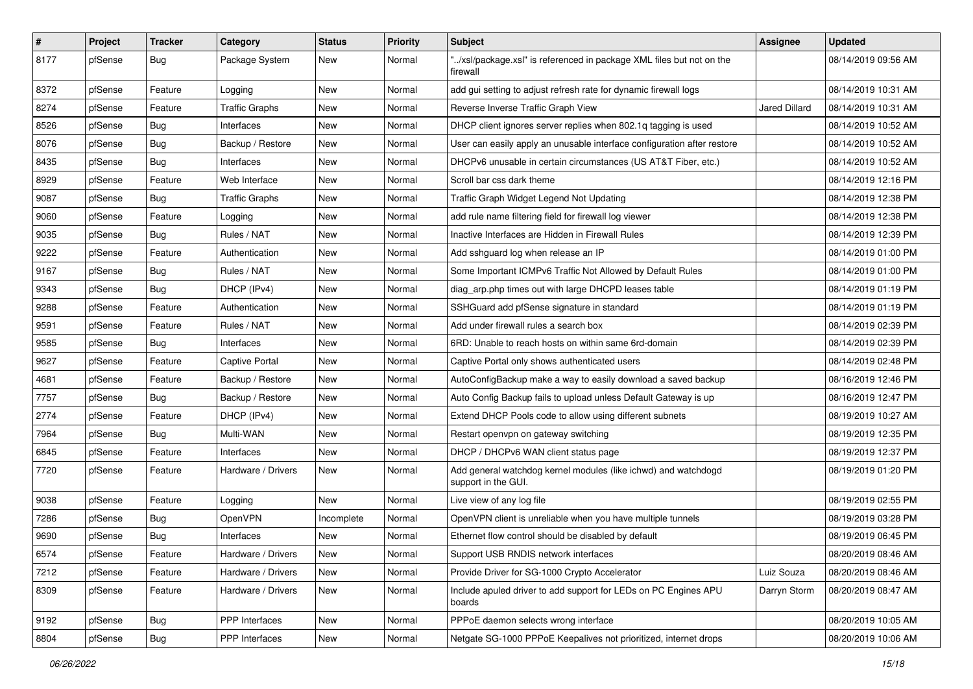| $\vert$ # | Project | <b>Tracker</b> | Category              | <b>Status</b> | <b>Priority</b> | <b>Subject</b>                                                                        | <b>Assignee</b>      | <b>Updated</b>      |
|-----------|---------|----------------|-----------------------|---------------|-----------------|---------------------------------------------------------------------------------------|----------------------|---------------------|
| 8177      | pfSense | Bug            | Package System        | New           | Normal          | '/xsl/package.xsl" is referenced in package XML files but not on the<br>firewall      |                      | 08/14/2019 09:56 AM |
| 8372      | pfSense | Feature        | Logging               | New           | Normal          | add gui setting to adjust refresh rate for dynamic firewall logs                      |                      | 08/14/2019 10:31 AM |
| 8274      | pfSense | Feature        | <b>Traffic Graphs</b> | New           | Normal          | Reverse Inverse Traffic Graph View                                                    | <b>Jared Dillard</b> | 08/14/2019 10:31 AM |
| 8526      | pfSense | Bug            | Interfaces            | New           | Normal          | DHCP client ignores server replies when 802.1q tagging is used                        |                      | 08/14/2019 10:52 AM |
| 8076      | pfSense | <b>Bug</b>     | Backup / Restore      | New           | Normal          | User can easily apply an unusable interface configuration after restore               |                      | 08/14/2019 10:52 AM |
| 8435      | pfSense | Bug            | Interfaces            | New           | Normal          | DHCPv6 unusable in certain circumstances (US AT&T Fiber, etc.)                        |                      | 08/14/2019 10:52 AM |
| 8929      | pfSense | Feature        | Web Interface         | New           | Normal          | Scroll bar css dark theme                                                             |                      | 08/14/2019 12:16 PM |
| 9087      | pfSense | Bug            | <b>Traffic Graphs</b> | New           | Normal          | Traffic Graph Widget Legend Not Updating                                              |                      | 08/14/2019 12:38 PM |
| 9060      | pfSense | Feature        | Logging               | New           | Normal          | add rule name filtering field for firewall log viewer                                 |                      | 08/14/2019 12:38 PM |
| 9035      | pfSense | Bug            | Rules / NAT           | New           | Normal          | Inactive Interfaces are Hidden in Firewall Rules                                      |                      | 08/14/2019 12:39 PM |
| 9222      | pfSense | Feature        | Authentication        | New           | Normal          | Add sshguard log when release an IP                                                   |                      | 08/14/2019 01:00 PM |
| 9167      | pfSense | Bug            | Rules / NAT           | New           | Normal          | Some Important ICMPv6 Traffic Not Allowed by Default Rules                            |                      | 08/14/2019 01:00 PM |
| 9343      | pfSense | Bug            | DHCP (IPv4)           | New           | Normal          | diag arp.php times out with large DHCPD leases table                                  |                      | 08/14/2019 01:19 PM |
| 9288      | pfSense | Feature        | Authentication        | New           | Normal          | SSHGuard add pfSense signature in standard                                            |                      | 08/14/2019 01:19 PM |
| 9591      | pfSense | Feature        | Rules / NAT           | New           | Normal          | Add under firewall rules a search box                                                 |                      | 08/14/2019 02:39 PM |
| 9585      | pfSense | <b>Bug</b>     | Interfaces            | New           | Normal          | 6RD: Unable to reach hosts on within same 6rd-domain                                  |                      | 08/14/2019 02:39 PM |
| 9627      | pfSense | Feature        | Captive Portal        | New           | Normal          | Captive Portal only shows authenticated users                                         |                      | 08/14/2019 02:48 PM |
| 4681      | pfSense | Feature        | Backup / Restore      | New           | Normal          | AutoConfigBackup make a way to easily download a saved backup                         |                      | 08/16/2019 12:46 PM |
| 7757      | pfSense | Bug            | Backup / Restore      | New           | Normal          | Auto Config Backup fails to upload unless Default Gateway is up                       |                      | 08/16/2019 12:47 PM |
| 2774      | pfSense | Feature        | DHCP (IPv4)           | New           | Normal          | Extend DHCP Pools code to allow using different subnets                               |                      | 08/19/2019 10:27 AM |
| 7964      | pfSense | Bug            | Multi-WAN             | New           | Normal          | Restart openvpn on gateway switching                                                  |                      | 08/19/2019 12:35 PM |
| 6845      | pfSense | Feature        | Interfaces            | New           | Normal          | DHCP / DHCPv6 WAN client status page                                                  |                      | 08/19/2019 12:37 PM |
| 7720      | pfSense | Feature        | Hardware / Drivers    | New           | Normal          | Add general watchdog kernel modules (like ichwd) and watchdogd<br>support in the GUI. |                      | 08/19/2019 01:20 PM |
| 9038      | pfSense | Feature        | Logging               | <b>New</b>    | Normal          | Live view of any log file                                                             |                      | 08/19/2019 02:55 PM |
| 7286      | pfSense | Bug            | OpenVPN               | Incomplete    | Normal          | OpenVPN client is unreliable when you have multiple tunnels                           |                      | 08/19/2019 03:28 PM |
| 9690      | pfSense | <b>Bug</b>     | Interfaces            | New           | Normal          | Ethernet flow control should be disabled by default                                   |                      | 08/19/2019 06:45 PM |
| 6574      | pfSense | Feature        | Hardware / Drivers    | New           | Normal          | Support USB RNDIS network interfaces                                                  |                      | 08/20/2019 08:46 AM |
| 7212      | pfSense | Feature        | Hardware / Drivers    | New           | Normal          | Provide Driver for SG-1000 Crypto Accelerator                                         | Luiz Souza           | 08/20/2019 08:46 AM |
| 8309      | pfSense | Feature        | Hardware / Drivers    | New           | Normal          | Include apuled driver to add support for LEDs on PC Engines APU<br>boards             | Darryn Storm         | 08/20/2019 08:47 AM |
| 9192      | pfSense | Bug            | PPP Interfaces        | New           | Normal          | PPPoE daemon selects wrong interface                                                  |                      | 08/20/2019 10:05 AM |
| 8804      | pfSense | Bug            | PPP Interfaces        | New           | Normal          | Netgate SG-1000 PPPoE Keepalives not prioritized, internet drops                      |                      | 08/20/2019 10:06 AM |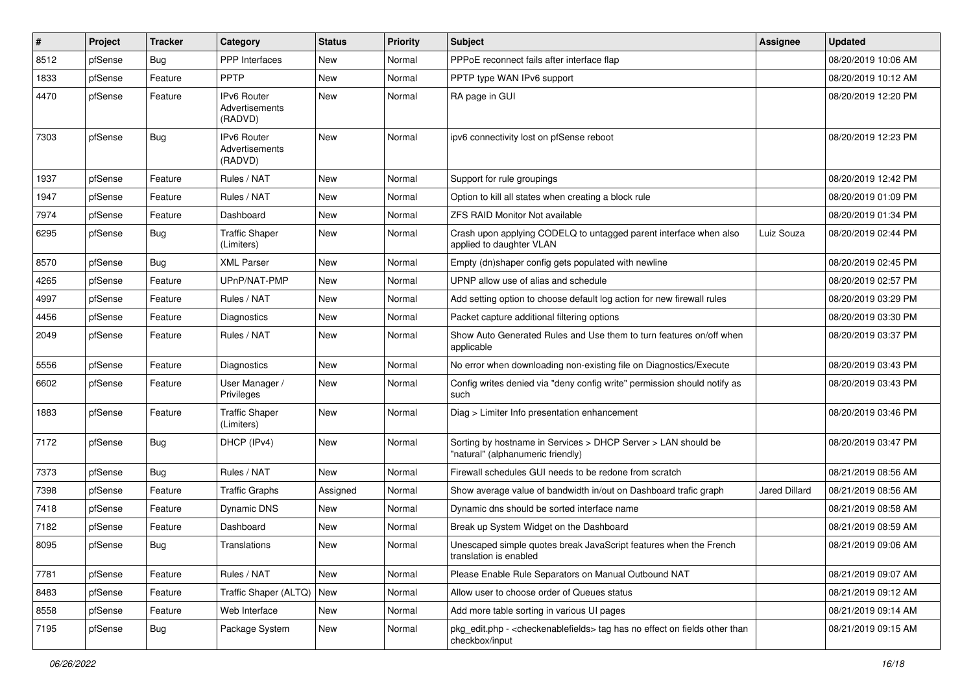| $\vert$ # | Project | <b>Tracker</b> | Category                                 | <b>Status</b> | <b>Priority</b> | <b>Subject</b>                                                                                     | Assignee      | <b>Updated</b>      |
|-----------|---------|----------------|------------------------------------------|---------------|-----------------|----------------------------------------------------------------------------------------------------|---------------|---------------------|
| 8512      | pfSense | Bug            | <b>PPP</b> Interfaces                    | New           | Normal          | PPPoE reconnect fails after interface flap                                                         |               | 08/20/2019 10:06 AM |
| 1833      | pfSense | Feature        | <b>PPTP</b>                              | <b>New</b>    | Normal          | PPTP type WAN IPv6 support                                                                         |               | 08/20/2019 10:12 AM |
| 4470      | pfSense | Feature        | IPv6 Router<br>Advertisements<br>(RADVD) | New           | Normal          | RA page in GUI                                                                                     |               | 08/20/2019 12:20 PM |
| 7303      | pfSense | <b>Bug</b>     | IPv6 Router<br>Advertisements<br>(RADVD) | <b>New</b>    | Normal          | ipv6 connectivity lost on pfSense reboot                                                           |               | 08/20/2019 12:23 PM |
| 1937      | pfSense | Feature        | Rules / NAT                              | New           | Normal          | Support for rule groupings                                                                         |               | 08/20/2019 12:42 PM |
| 1947      | pfSense | Feature        | Rules / NAT                              | New           | Normal          | Option to kill all states when creating a block rule                                               |               | 08/20/2019 01:09 PM |
| 7974      | pfSense | Feature        | Dashboard                                | New           | Normal          | <b>ZFS RAID Monitor Not available</b>                                                              |               | 08/20/2019 01:34 PM |
| 6295      | pfSense | Bug            | <b>Traffic Shaper</b><br>(Limiters)      | New           | Normal          | Crash upon applying CODELQ to untagged parent interface when also<br>applied to daughter VLAN      | Luiz Souza    | 08/20/2019 02:44 PM |
| 8570      | pfSense | Bug            | <b>XML Parser</b>                        | New           | Normal          | Empty (dn)shaper config gets populated with newline                                                |               | 08/20/2019 02:45 PM |
| 4265      | pfSense | Feature        | UPnP/NAT-PMP                             | New           | Normal          | UPNP allow use of alias and schedule                                                               |               | 08/20/2019 02:57 PM |
| 4997      | pfSense | Feature        | Rules / NAT                              | New           | Normal          | Add setting option to choose default log action for new firewall rules                             |               | 08/20/2019 03:29 PM |
| 4456      | pfSense | Feature        | Diagnostics                              | New           | Normal          | Packet capture additional filtering options                                                        |               | 08/20/2019 03:30 PM |
| 2049      | pfSense | Feature        | Rules / NAT                              | New           | Normal          | Show Auto Generated Rules and Use them to turn features on/off when<br>applicable                  |               | 08/20/2019 03:37 PM |
| 5556      | pfSense | Feature        | Diagnostics                              | <b>New</b>    | Normal          | No error when downloading non-existing file on Diagnostics/Execute                                 |               | 08/20/2019 03:43 PM |
| 6602      | pfSense | Feature        | User Manager /<br>Privileges             | New           | Normal          | Config writes denied via "deny config write" permission should notify as<br>such                   |               | 08/20/2019 03:43 PM |
| 1883      | pfSense | Feature        | <b>Traffic Shaper</b><br>(Limiters)      | New           | Normal          | Diag > Limiter Info presentation enhancement                                                       |               | 08/20/2019 03:46 PM |
| 7172      | pfSense | <b>Bug</b>     | DHCP (IPv4)                              | New           | Normal          | Sorting by hostname in Services > DHCP Server > LAN should be<br>'natural" (alphanumeric friendly) |               | 08/20/2019 03:47 PM |
| 7373      | pfSense | <b>Bug</b>     | Rules / NAT                              | <b>New</b>    | Normal          | Firewall schedules GUI needs to be redone from scratch                                             |               | 08/21/2019 08:56 AM |
| 7398      | pfSense | Feature        | <b>Traffic Graphs</b>                    | Assigned      | Normal          | Show average value of bandwidth in/out on Dashboard trafic graph                                   | Jared Dillard | 08/21/2019 08:56 AM |
| 7418      | pfSense | Feature        | <b>Dynamic DNS</b>                       | New           | Normal          | Dynamic dns should be sorted interface name                                                        |               | 08/21/2019 08:58 AM |
| 7182      | pfSense | Feature        | Dashboard                                | New           | Normal          | Break up System Widget on the Dashboard                                                            |               | 08/21/2019 08:59 AM |
| 8095      | pfSense | Bug            | Translations                             | New           | Normal          | Unescaped simple quotes break JavaScript features when the French<br>translation is enabled        |               | 08/21/2019 09:06 AM |
| 7781      | pfSense | Feature        | Rules / NAT                              | New           | Normal          | Please Enable Rule Separators on Manual Outbound NAT                                               |               | 08/21/2019 09:07 AM |
| 8483      | pfSense | Feature        | Traffic Shaper (ALTQ)                    | New           | Normal          | Allow user to choose order of Queues status                                                        |               | 08/21/2019 09:12 AM |
| 8558      | pfSense | Feature        | Web Interface                            | New           | Normal          | Add more table sorting in various UI pages                                                         |               | 08/21/2019 09:14 AM |
| 7195      | pfSense | Bug            | Package System                           | New           | Normal          | pkg_edit.php - < checkenablefields> tag has no effect on fields other than<br>checkbox/input       |               | 08/21/2019 09:15 AM |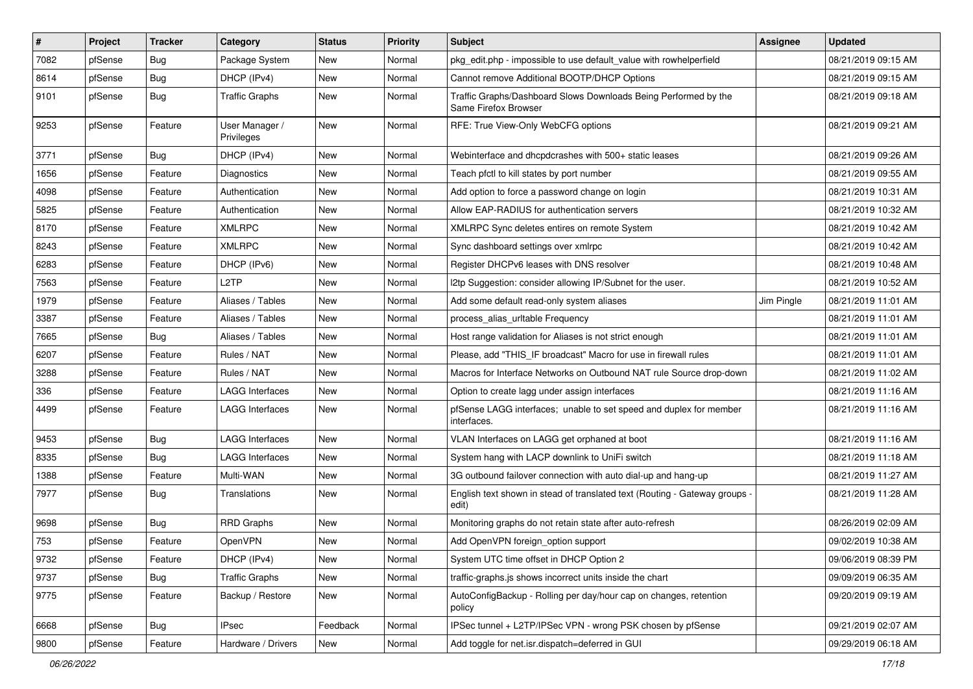| $\vert$ # | Project | <b>Tracker</b> | Category                     | <b>Status</b> | <b>Priority</b> | <b>Subject</b>                                                                          | Assignee   | <b>Updated</b>      |
|-----------|---------|----------------|------------------------------|---------------|-----------------|-----------------------------------------------------------------------------------------|------------|---------------------|
| 7082      | pfSense | <b>Bug</b>     | Package System               | New           | Normal          | pkg edit.php - impossible to use default value with rowhelperfield                      |            | 08/21/2019 09:15 AM |
| 8614      | pfSense | <b>Bug</b>     | DHCP (IPv4)                  | New           | Normal          | Cannot remove Additional BOOTP/DHCP Options                                             |            | 08/21/2019 09:15 AM |
| 9101      | pfSense | <b>Bug</b>     | <b>Traffic Graphs</b>        | New           | Normal          | Traffic Graphs/Dashboard Slows Downloads Being Performed by the<br>Same Firefox Browser |            | 08/21/2019 09:18 AM |
| 9253      | pfSense | Feature        | User Manager /<br>Privileges | New           | Normal          | RFE: True View-Only WebCFG options                                                      |            | 08/21/2019 09:21 AM |
| 3771      | pfSense | Bug            | DHCP (IPv4)                  | New           | Normal          | Webinterface and dhcpdcrashes with 500+ static leases                                   |            | 08/21/2019 09:26 AM |
| 1656      | pfSense | Feature        | <b>Diagnostics</b>           | <b>New</b>    | Normal          | Teach pfctl to kill states by port number                                               |            | 08/21/2019 09:55 AM |
| 4098      | pfSense | Feature        | Authentication               | New           | Normal          | Add option to force a password change on login                                          |            | 08/21/2019 10:31 AM |
| 5825      | pfSense | Feature        | Authentication               | New           | Normal          | Allow EAP-RADIUS for authentication servers                                             |            | 08/21/2019 10:32 AM |
| 8170      | pfSense | Feature        | <b>XMLRPC</b>                | New           | Normal          | XMLRPC Sync deletes entires on remote System                                            |            | 08/21/2019 10:42 AM |
| 8243      | pfSense | Feature        | <b>XMLRPC</b>                | New           | Normal          | Sync dashboard settings over xmlrpc                                                     |            | 08/21/2019 10:42 AM |
| 6283      | pfSense | Feature        | DHCP (IPv6)                  | New           | Normal          | Register DHCPv6 leases with DNS resolver                                                |            | 08/21/2019 10:48 AM |
| 7563      | pfSense | Feature        | L2TP                         | New           | Normal          | I2tp Suggestion: consider allowing IP/Subnet for the user.                              |            | 08/21/2019 10:52 AM |
| 1979      | pfSense | Feature        | Aliases / Tables             | New           | Normal          | Add some default read-only system aliases                                               | Jim Pingle | 08/21/2019 11:01 AM |
| 3387      | pfSense | Feature        | Aliases / Tables             | New           | Normal          | process_alias_urltable Frequency                                                        |            | 08/21/2019 11:01 AM |
| 7665      | pfSense | <b>Bug</b>     | Aliases / Tables             | New           | Normal          | Host range validation for Aliases is not strict enough                                  |            | 08/21/2019 11:01 AM |
| 6207      | pfSense | Feature        | Rules / NAT                  | New           | Normal          | Please, add "THIS_IF broadcast" Macro for use in firewall rules                         |            | 08/21/2019 11:01 AM |
| 3288      | pfSense | Feature        | Rules / NAT                  | New           | Normal          | Macros for Interface Networks on Outbound NAT rule Source drop-down                     |            | 08/21/2019 11:02 AM |
| 336       | pfSense | Feature        | LAGG Interfaces              | New           | Normal          | Option to create lagg under assign interfaces                                           |            | 08/21/2019 11:16 AM |
| 4499      | pfSense | Feature        | <b>LAGG Interfaces</b>       | <b>New</b>    | Normal          | pfSense LAGG interfaces; unable to set speed and duplex for member<br>interfaces.       |            | 08/21/2019 11:16 AM |
| 9453      | pfSense | <b>Bug</b>     | <b>LAGG Interfaces</b>       | <b>New</b>    | Normal          | VLAN Interfaces on LAGG get orphaned at boot                                            |            | 08/21/2019 11:16 AM |
| 8335      | pfSense | <b>Bug</b>     | <b>LAGG Interfaces</b>       | New           | Normal          | System hang with LACP downlink to UniFi switch                                          |            | 08/21/2019 11:18 AM |
| 1388      | pfSense | Feature        | Multi-WAN                    | New           | Normal          | 3G outbound failover connection with auto dial-up and hang-up                           |            | 08/21/2019 11:27 AM |
| 7977      | pfSense | <b>Bug</b>     | Translations                 | New           | Normal          | English text shown in stead of translated text (Routing - Gateway groups -<br>edit)     |            | 08/21/2019 11:28 AM |
| 9698      | pfSense | Bug            | <b>RRD Graphs</b>            | New           | Normal          | Monitoring graphs do not retain state after auto-refresh                                |            | 08/26/2019 02:09 AM |
| 753       | pfSense | Feature        | OpenVPN                      | <b>New</b>    | Normal          | Add OpenVPN foreign_option support                                                      |            | 09/02/2019 10:38 AM |
| 9732      | pfSense | Feature        | DHCP (IPv4)                  | New           | Normal          | System UTC time offset in DHCP Option 2                                                 |            | 09/06/2019 08:39 PM |
| 9737      | pfSense | <b>Bug</b>     | <b>Traffic Graphs</b>        | New           | Normal          | traffic-graphs.js shows incorrect units inside the chart                                |            | 09/09/2019 06:35 AM |
| 9775      | pfSense | Feature        | Backup / Restore             | New           | Normal          | AutoConfigBackup - Rolling per day/hour cap on changes, retention<br>policy             |            | 09/20/2019 09:19 AM |
| 6668      | pfSense | <b>Bug</b>     | <b>IPsec</b>                 | Feedback      | Normal          | IPSec tunnel + L2TP/IPSec VPN - wrong PSK chosen by pfSense                             |            | 09/21/2019 02:07 AM |
| 9800      | pfSense | Feature        | Hardware / Drivers           | New           | Normal          | Add toggle for net.isr.dispatch=deferred in GUI                                         |            | 09/29/2019 06:18 AM |